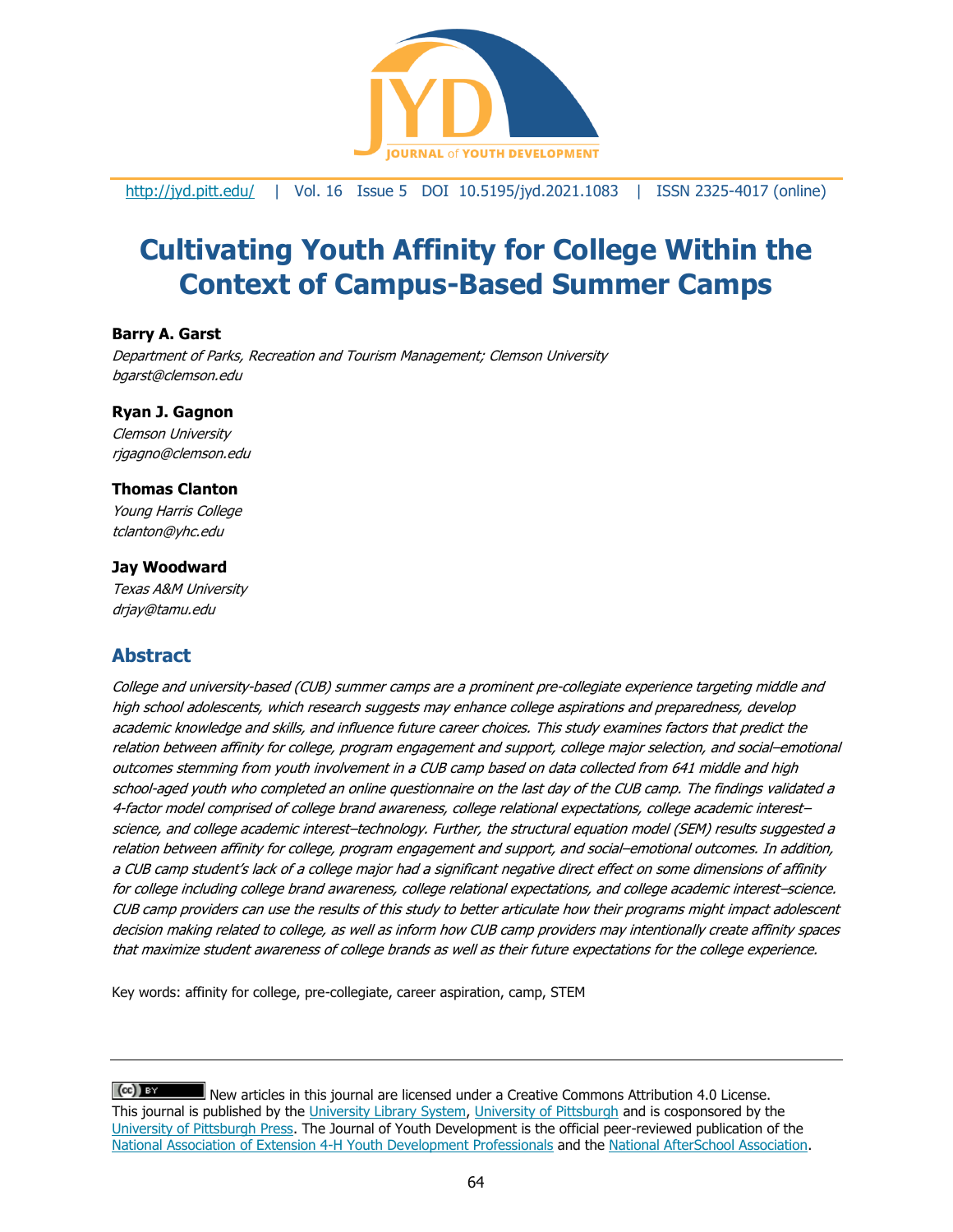

<http://jyd.pitt.edu/> | Vol. 16 Issue 5 DOI 10.5195/jyd.2021.1083 | ISSN 2325-4017 (online)

# **Cultivating Youth Affinity for College Within the Context of Campus-Based Summer Camps**

#### **Barry A. Garst**

Department of Parks, Recreation and Tourism Management; Clemson University bgarst@clemson.edu

#### **Ryan J. Gagnon**

Clemson University rjgagno@clemson.edu

#### **Thomas Clanton**

Young Harris College tclanton@yhc.edu

#### **Jay Woodward**

Texas A&M University [drjay@tamu.edu](mailto:drjay@tamu.edu)

# **Abstract**

College and university-based (CUB) summer camps are a prominent pre-collegiate experience targeting middle and high school adolescents, which research suggests may enhance college aspirations and preparedness, develop academic knowledge and skills, and influence future career choices. This study examines factors that predict the relation between affinity for college, program engagement and support, college major selection, and social–emotional outcomes stemming from youth involvement in a CUB camp based on data collected from 641 middle and high school-aged youth who completed an online questionnaire on the last day of the CUB camp. The findings validated a 4-factor model comprised of college brand awareness, college relational expectations, college academic interest– science, and college academic interest–technology. Further, the structural equation model (SEM) results suggested a relation between affinity for college, program engagement and support, and social–emotional outcomes. In addition, a CUB camp student's lack of a college major had a significant negative direct effect on some dimensions of affinity for college including college brand awareness, college relational expectations, and college academic interest–science. CUB camp providers can use the results of this study to better articulate how their programs might impact adolescent decision making related to college, as well as inform how CUB camp providers may intentionally create affinity spaces that maximize student awareness of college brands as well as their future expectations for the college experience.

Key words: affinity for college, pre-collegiate, career aspiration, camp, STEM

 $(cc)$  BY New articles in this journal are licensed under a Creative Commons Attribution 4.0 License. This journal is published by the [University Library System,](http://www.library.pitt.edu/) [University of Pittsburgh](http://www.pitt.edu/) and is cosponsored by the [University of Pittsburgh Press.](http://www.upress.pitt.edu/upressIndex.aspx) The Journal of Youth Development is the official peer-reviewed publication of the [National Association of Extension 4-H Youth Development Professionals](http://www.nae4ha.com/) and the [National AfterSchool Association.](http://naaweb.org/)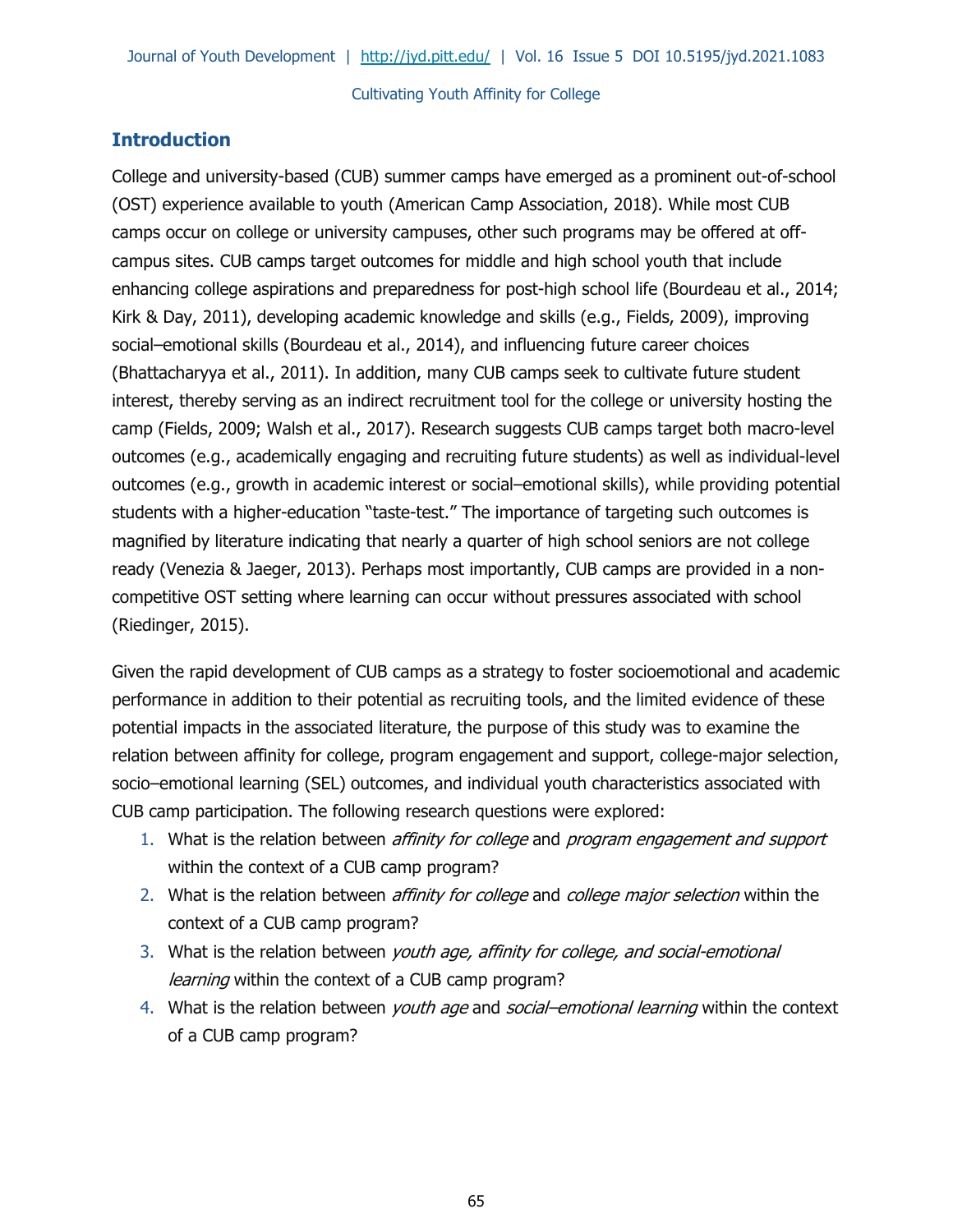# **Introduction**

College and university-based (CUB) summer camps have emerged as a prominent out-of-school (OST) experience available to youth (American Camp Association, 2018). While most CUB camps occur on college or university campuses, other such programs may be offered at offcampus sites. CUB camps target outcomes for middle and high school youth that include enhancing college aspirations and preparedness for post-high school life (Bourdeau et al., 2014; Kirk & Day, 2011), developing academic knowledge and skills (e.g., Fields, 2009), improving social–emotional skills (Bourdeau et al., 2014), and influencing future career choices (Bhattacharyya et al., 2011). In addition, many CUB camps seek to cultivate future student interest, thereby serving as an indirect recruitment tool for the college or university hosting the camp (Fields, 2009; Walsh et al., 2017). Research suggests CUB camps target both macro-level outcomes (e.g., academically engaging and recruiting future students) as well as individual-level outcomes (e.g., growth in academic interest or social–emotional skills), while providing potential students with a higher-education "taste-test." The importance of targeting such outcomes is magnified by literature indicating that nearly a quarter of high school seniors are not college ready (Venezia & Jaeger, 2013). Perhaps most importantly, CUB camps are provided in a noncompetitive OST setting where learning can occur without pressures associated with school (Riedinger, 2015).

Given the rapid development of CUB camps as a strategy to foster socioemotional and academic performance in addition to their potential as recruiting tools, and the limited evidence of these potential impacts in the associated literature, the purpose of this study was to examine the relation between affinity for college, program engagement and support, college-major selection, socio–emotional learning (SEL) outcomes, and individual youth characteristics associated with CUB camp participation. The following research questions were explored:

- 1. What is the relation between *affinity for college* and *program engagement and support* within the context of a CUB camp program?
- 2. What is the relation between *affinity for college* and *college major selection* within the context of a CUB camp program?
- 3. What is the relation between *youth age, affinity for college, and social-emotional* learning within the context of a CUB camp program?
- 4. What is the relation between youth age and social-emotional learning within the context of a CUB camp program?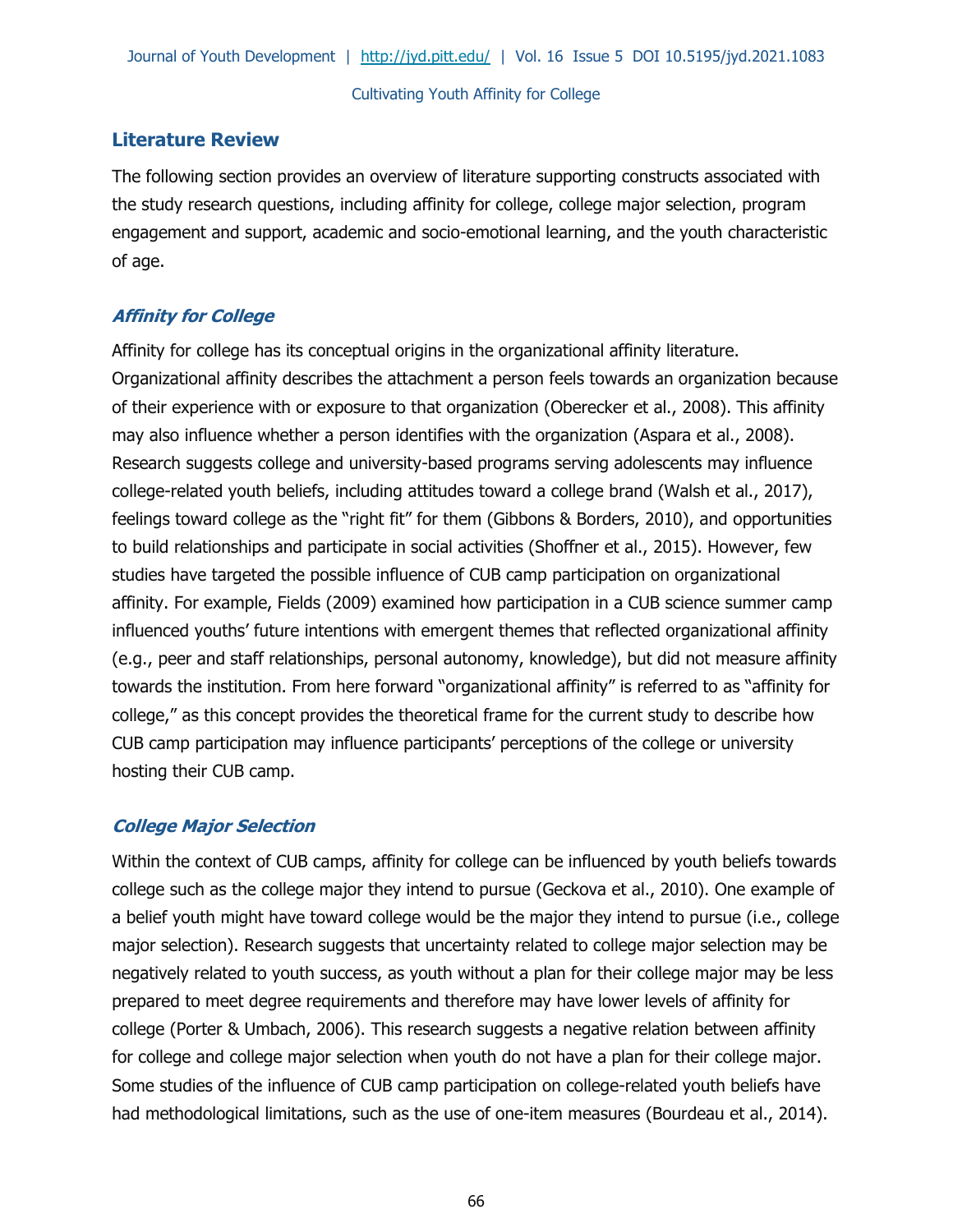# **Literature Review**

The following section provides an overview of literature supporting constructs associated with the study research questions, including affinity for college, college major selection, program engagement and support, academic and socio-emotional learning, and the youth characteristic of age.

# **Affinity for College**

Affinity for college has its conceptual origins in the organizational affinity literature. Organizational affinity describes the attachment a person feels towards an organization because of their experience with or exposure to that organization (Oberecker et al., 2008). This affinity may also influence whether a person identifies with the organization (Aspara et al., 2008). Research suggests college and university-based programs serving adolescents may influence college-related youth beliefs, including attitudes toward a college brand (Walsh et al., 2017), feelings toward college as the "right fit" for them (Gibbons & Borders, 2010), and opportunities to build relationships and participate in social activities (Shoffner et al., 2015). However, few studies have targeted the possible influence of CUB camp participation on organizational affinity. For example, Fields (2009) examined how participation in a CUB science summer camp influenced youths' future intentions with emergent themes that reflected organizational affinity (e.g., peer and staff relationships, personal autonomy, knowledge), but did not measure affinity towards the institution. From here forward "organizational affinity" is referred to as "affinity for college," as this concept provides the theoretical frame for the current study to describe how CUB camp participation may influence participants' perceptions of the college or university hosting their CUB camp.

# **College Major Selection**

Within the context of CUB camps, affinity for college can be influenced by youth beliefs towards college such as the college major they intend to pursue (Geckova et al., 2010). One example of a belief youth might have toward college would be the major they intend to pursue (i.e., college major selection). Research suggests that uncertainty related to college major selection may be negatively related to youth success, as youth without a plan for their college major may be less prepared to meet degree requirements and therefore may have lower levels of affinity for college (Porter & Umbach, 2006). This research suggests a negative relation between affinity for college and college major selection when youth do not have a plan for their college major. Some studies of the influence of CUB camp participation on college-related youth beliefs have had methodological limitations, such as the use of one-item measures (Bourdeau et al., 2014).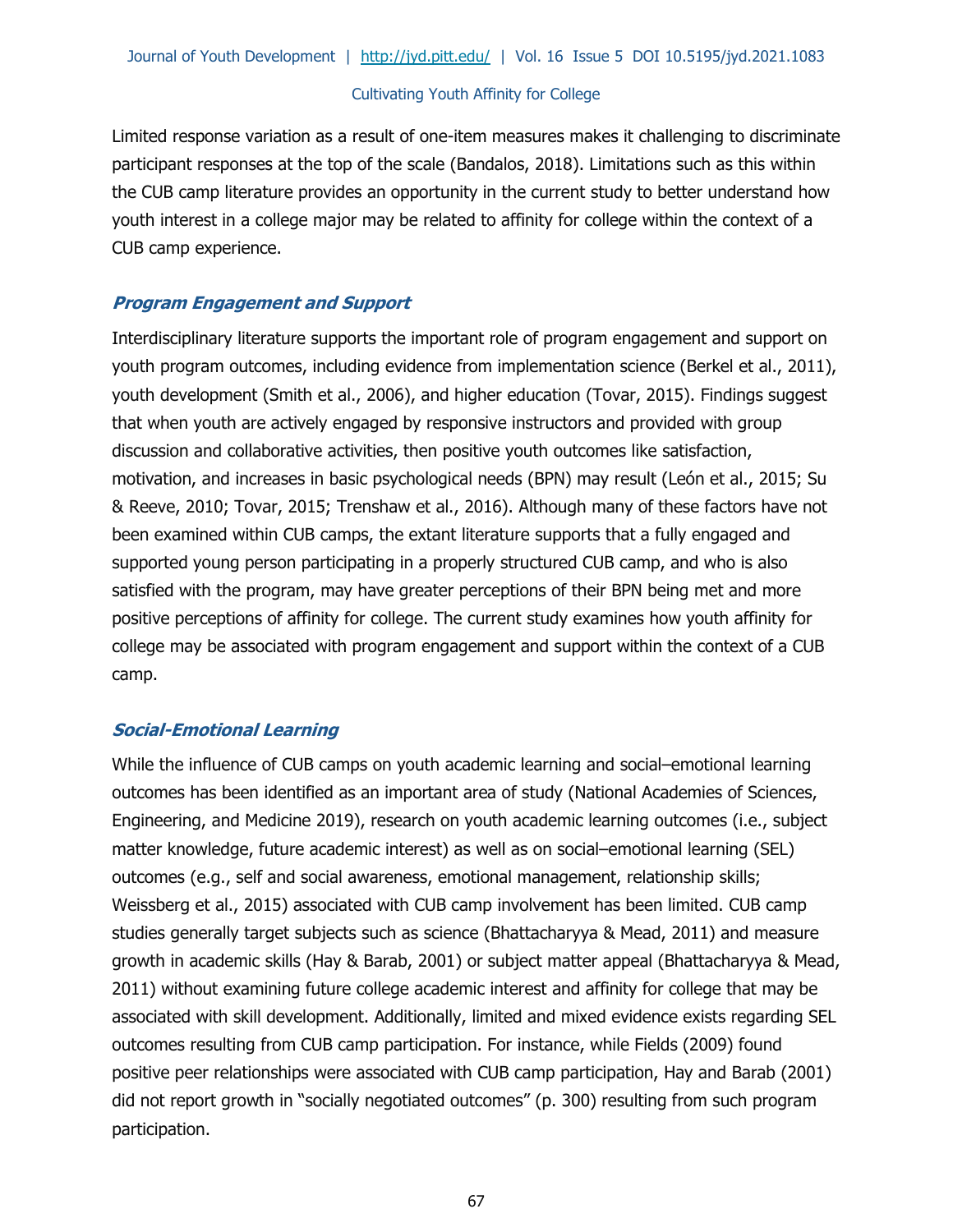Limited response variation as a result of one-item measures makes it challenging to discriminate participant responses at the top of the scale (Bandalos, 2018). Limitations such as this within the CUB camp literature provides an opportunity in the current study to better understand how youth interest in a college major may be related to affinity for college within the context of a CUB camp experience.

# **Program Engagement and Support**

Interdisciplinary literature supports the important role of program engagement and support on youth program outcomes, including evidence from implementation science (Berkel et al., 2011), youth development (Smith et al., 2006), and higher education (Tovar, 2015). Findings suggest that when youth are actively engaged by responsive instructors and provided with group discussion and collaborative activities, then positive youth outcomes like satisfaction, motivation, and increases in basic psychological needs (BPN) may result (León et al., 2015; Su & Reeve, 2010; Tovar, 2015; Trenshaw et al., 2016). Although many of these factors have not been examined within CUB camps, the extant literature supports that a fully engaged and supported young person participating in a properly structured CUB camp, and who is also satisfied with the program, may have greater perceptions of their BPN being met and more positive perceptions of affinity for college. The current study examines how youth affinity for college may be associated with program engagement and support within the context of a CUB camp.

# **Social-Emotional Learning**

While the influence of CUB camps on youth academic learning and social–emotional learning outcomes has been identified as an important area of study (National Academies of Sciences, Engineering, and Medicine 2019), research on youth academic learning outcomes (i.e., subject matter knowledge, future academic interest) as well as on social–emotional learning (SEL) outcomes (e.g., self and social awareness, emotional management, relationship skills; Weissberg et al., 2015) associated with CUB camp involvement has been limited. CUB camp studies generally target subjects such as science (Bhattacharyya & Mead, 2011) and measure growth in academic skills (Hay & Barab, 2001) or subject matter appeal (Bhattacharyya & Mead, 2011) without examining future college academic interest and affinity for college that may be associated with skill development. Additionally, limited and mixed evidence exists regarding SEL outcomes resulting from CUB camp participation. For instance, while Fields (2009) found positive peer relationships were associated with CUB camp participation, Hay and Barab (2001) did not report growth in "socially negotiated outcomes" (p. 300) resulting from such program participation.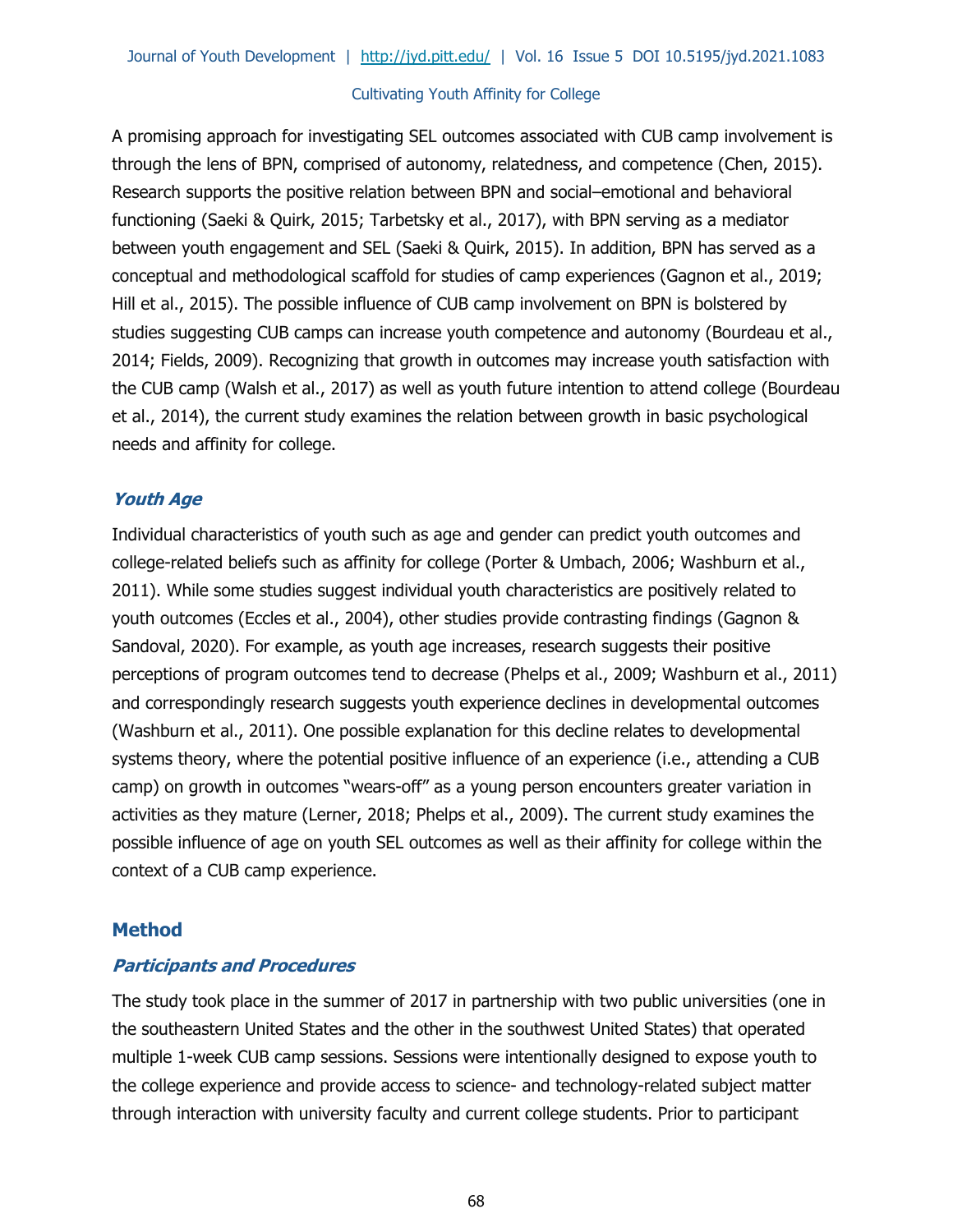A promising approach for investigating SEL outcomes associated with CUB camp involvement is through the lens of BPN, comprised of autonomy, relatedness, and competence (Chen, 2015). Research supports the positive relation between BPN and social–emotional and behavioral functioning (Saeki & Quirk, 2015; Tarbetsky et al., 2017), with BPN serving as a mediator between youth engagement and SEL (Saeki & Quirk, 2015). In addition, BPN has served as a conceptual and methodological scaffold for studies of camp experiences (Gagnon et al., 2019; Hill et al., 2015). The possible influence of CUB camp involvement on BPN is bolstered by studies suggesting CUB camps can increase youth competence and autonomy (Bourdeau et al., 2014; Fields, 2009). Recognizing that growth in outcomes may increase youth satisfaction with the CUB camp (Walsh et al., 2017) as well as youth future intention to attend college (Bourdeau et al., 2014), the current study examines the relation between growth in basic psychological needs and affinity for college.

## **Youth Age**

Individual characteristics of youth such as age and gender can predict youth outcomes and college-related beliefs such as affinity for college (Porter & Umbach, 2006; Washburn et al., 2011). While some studies suggest individual youth characteristics are positively related to youth outcomes (Eccles et al., 2004), other studies provide contrasting findings (Gagnon & Sandoval, 2020). For example, as youth age increases, research suggests their positive perceptions of program outcomes tend to decrease (Phelps et al., 2009; Washburn et al., 2011) and correspondingly research suggests youth experience declines in developmental outcomes (Washburn et al., 2011). One possible explanation for this decline relates to developmental systems theory, where the potential positive influence of an experience (i.e., attending a CUB camp) on growth in outcomes "wears-off" as a young person encounters greater variation in activities as they mature (Lerner, 2018; Phelps et al., 2009). The current study examines the possible influence of age on youth SEL outcomes as well as their affinity for college within the context of a CUB camp experience.

# **Method**

# **Participants and Procedures**

The study took place in the summer of 2017 in partnership with two public universities (one in the southeastern United States and the other in the southwest United States) that operated multiple 1-week CUB camp sessions. Sessions were intentionally designed to expose youth to the college experience and provide access to science- and technology-related subject matter through interaction with university faculty and current college students. Prior to participant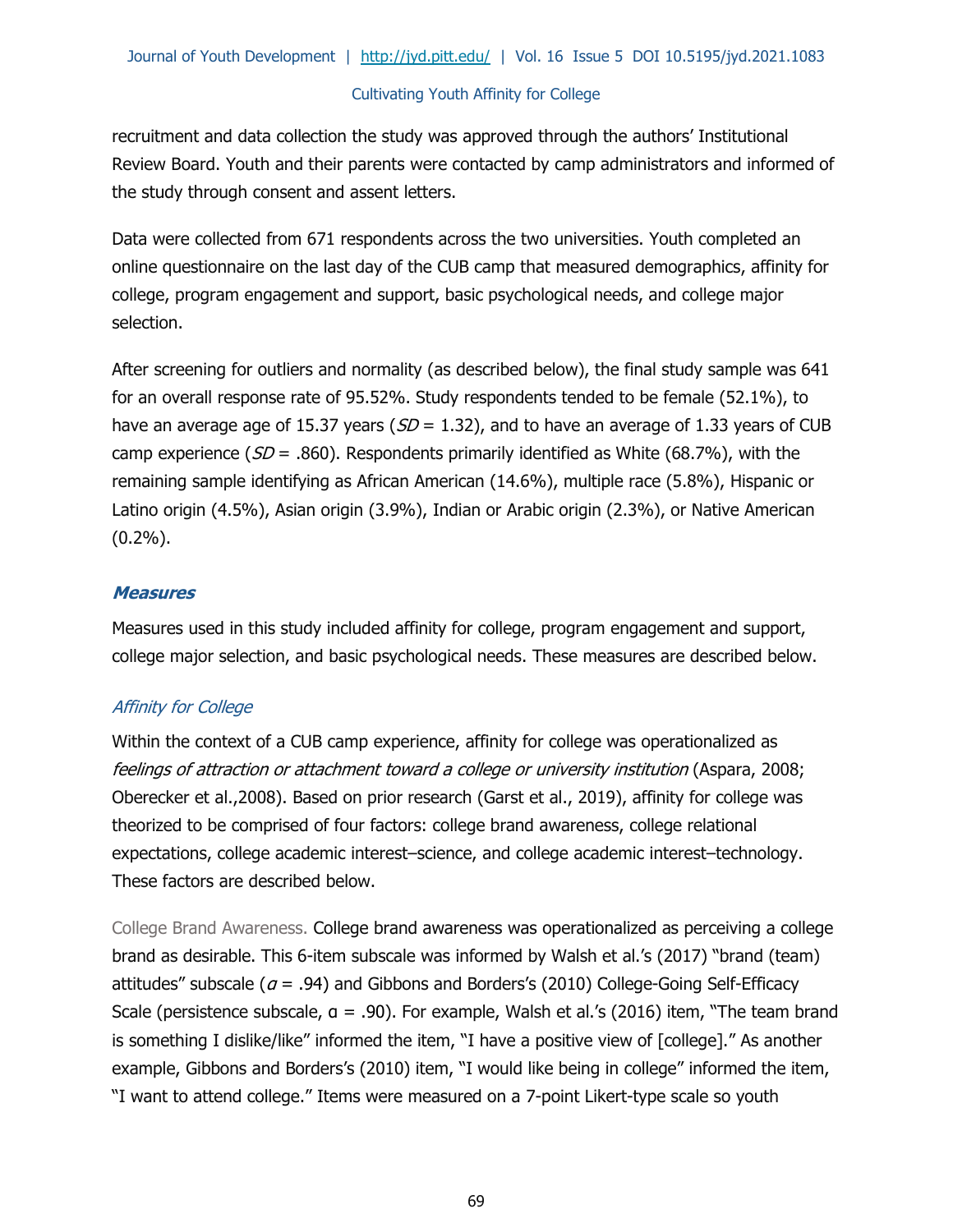recruitment and data collection the study was approved through the authors' Institutional Review Board. Youth and their parents were contacted by camp administrators and informed of the study through consent and assent letters.

Data were collected from 671 respondents across the two universities. Youth completed an online questionnaire on the last day of the CUB camp that measured demographics, affinity for college, program engagement and support, basic psychological needs, and college major selection.

After screening for outliers and normality (as described below), the final study sample was 641 for an overall response rate of 95.52%. Study respondents tended to be female (52.1%), to have an average age of 15.37 years ( $SD = 1.32$ ), and to have an average of 1.33 years of CUB camp experience ( $SD = .860$ ). Respondents primarily identified as White (68.7%), with the remaining sample identifying as African American (14.6%), multiple race (5.8%), Hispanic or Latino origin (4.5%), Asian origin (3.9%), Indian or Arabic origin (2.3%), or Native American (0.2%).

## **Measures**

Measures used in this study included affinity for college, program engagement and support, college major selection, and basic psychological needs. These measures are described below.

# Affinity for College

Within the context of a CUB camp experience, affinity for college was operationalized as feelings of attraction or attachment toward a college or university institution (Aspara, 2008; Oberecker et al.,2008). Based on prior research (Garst et al., 2019), affinity for college was theorized to be comprised of four factors: college brand awareness, college relational expectations, college academic interest–science, and college academic interest–technology. These factors are described below.

College Brand Awareness. College brand awareness was operationalized as perceiving a college brand as desirable. This 6-item subscale was informed by Walsh et al.'s (2017) "brand (team) attitudes" subscale ( $a = .94$ ) and Gibbons and Borders's (2010) College-Going Self-Efficacy Scale (persistence subscale, α = .90). For example, Walsh et al.'s (2016) item, "The team brand is something I dislike/like" informed the item, "I have a positive view of [college]." As another example, Gibbons and Borders's (2010) item, "I would like being in college" informed the item, "I want to attend college." Items were measured on a 7-point Likert-type scale so youth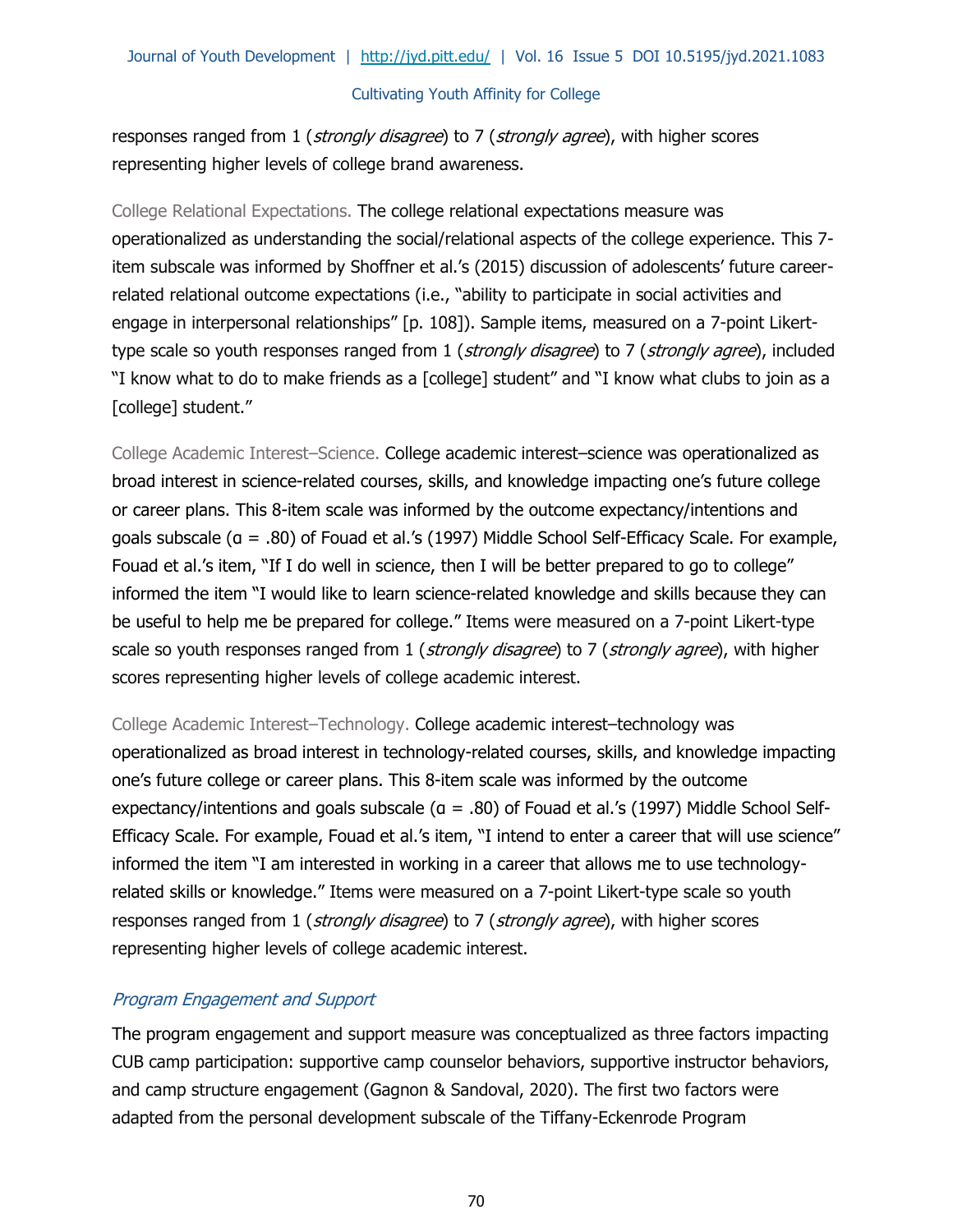responses ranged from 1 (strongly disagree) to 7 (strongly agree), with higher scores representing higher levels of college brand awareness.

College Relational Expectations. The college relational expectations measure was operationalized as understanding the social/relational aspects of the college experience. This 7 item subscale was informed by Shoffner et al.'s (2015) discussion of adolescents' future careerrelated relational outcome expectations (i.e., "ability to participate in social activities and engage in interpersonal relationships" [p. 108]). Sample items, measured on a 7-point Likerttype scale so youth responses ranged from 1 (*strongly disagree*) to 7 (*strongly agree*), included "I know what to do to make friends as a [college] student" and "I know what clubs to join as a [college] student."

College Academic Interest–Science. College academic interest–science was operationalized as broad interest in science-related courses, skills, and knowledge impacting one's future college or career plans. This 8-item scale was informed by the outcome expectancy/intentions and goals subscale (α = .80) of Fouad et al.'s (1997) Middle School Self-Efficacy Scale. For example, Fouad et al.'s item, "If I do well in science, then I will be better prepared to go to college" informed the item "I would like to learn science-related knowledge and skills because they can be useful to help me be prepared for college." Items were measured on a 7-point Likert-type scale so youth responses ranged from 1 (strongly disagree) to 7 (strongly agree), with higher scores representing higher levels of college academic interest.

College Academic Interest–Technology. College academic interest–technology was operationalized as broad interest in technology-related courses, skills, and knowledge impacting one's future college or career plans. This 8-item scale was informed by the outcome expectancy/intentions and goals subscale (α = .80) of Fouad et al.'s (1997) Middle School Self-Efficacy Scale. For example, Fouad et al.'s item, "I intend to enter a career that will use science" informed the item "I am interested in working in a career that allows me to use technologyrelated skills or knowledge." Items were measured on a 7-point Likert-type scale so youth responses ranged from 1 (strongly disagree) to 7 (strongly agree), with higher scores representing higher levels of college academic interest.

# Program Engagement and Support

The program engagement and support measure was conceptualized as three factors impacting CUB camp participation: supportive camp counselor behaviors, supportive instructor behaviors, and camp structure engagement (Gagnon & Sandoval, 2020). The first two factors were adapted from the personal development subscale of the Tiffany-Eckenrode Program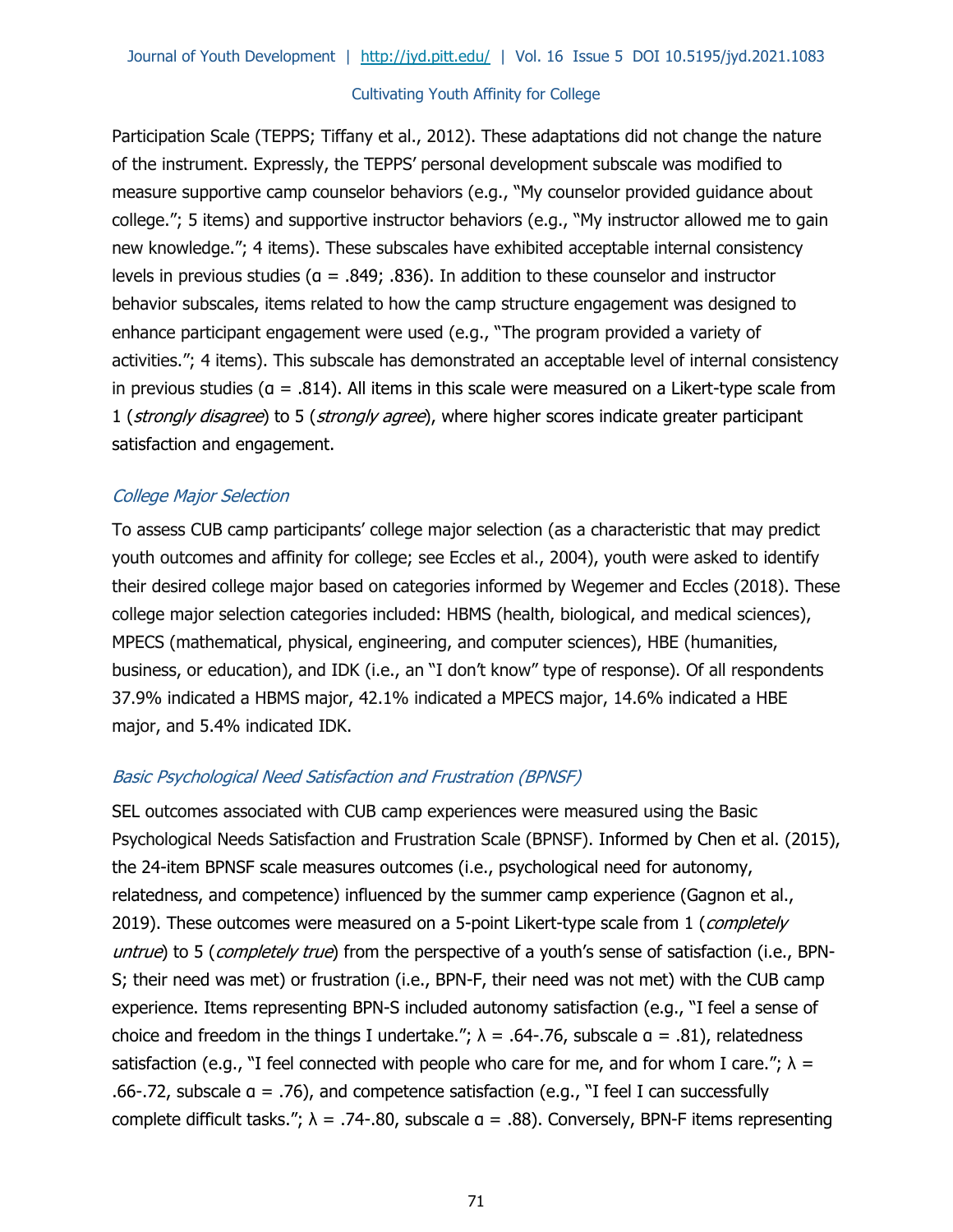Participation Scale (TEPPS; Tiffany et al., 2012). These adaptations did not change the nature of the instrument. Expressly, the TEPPS' personal development subscale was modified to measure supportive camp counselor behaviors (e.g., "My counselor provided guidance about college."; 5 items) and supportive instructor behaviors (e.g., "My instructor allowed me to gain new knowledge."; 4 items). These subscales have exhibited acceptable internal consistency levels in previous studies ( $a = .849; .836$ ). In addition to these counselor and instructor behavior subscales, items related to how the camp structure engagement was designed to enhance participant engagement were used (e.g., "The program provided a variety of activities."; 4 items). This subscale has demonstrated an acceptable level of internal consistency in previous studies ( $a = .814$ ). All items in this scale were measured on a Likert-type scale from 1 (strongly disagree) to 5 (strongly agree), where higher scores indicate greater participant satisfaction and engagement.

## College Major Selection

To assess CUB camp participants' college major selection (as a characteristic that may predict youth outcomes and affinity for college; see Eccles et al., 2004), youth were asked to identify their desired college major based on categories informed by Wegemer and Eccles (2018). These college major selection categories included: HBMS (health, biological, and medical sciences), MPECS (mathematical, physical, engineering, and computer sciences), HBE (humanities, business, or education), and IDK (i.e., an "I don't know" type of response). Of all respondents 37.9% indicated a HBMS major, 42.1% indicated a MPECS major, 14.6% indicated a HBE major, and 5.4% indicated IDK.

# Basic Psychological Need Satisfaction and Frustration (BPNSF)

SEL outcomes associated with CUB camp experiences were measured using the Basic Psychological Needs Satisfaction and Frustration Scale (BPNSF). Informed by Chen et al. (2015), the 24-item BPNSF scale measures outcomes (i.e., psychological need for autonomy, relatedness, and competence) influenced by the summer camp experience (Gagnon et al., 2019). These outcomes were measured on a 5-point Likert-type scale from 1 (completely untrue) to 5 (completely true) from the perspective of a youth's sense of satisfaction (i.e., BPN-S; their need was met) or frustration (i.e., BPN-F, their need was not met) with the CUB camp experience. Items representing BPN-S included autonomy satisfaction (e.g., "I feel a sense of choice and freedom in the things I undertake.";  $\lambda = .64-.76$ , subscale  $\alpha = .81$ ), relatedness satisfaction (e.g., "I feel connected with people who care for me, and for whom I care.";  $\lambda$  = .66-.72, subscale  $a = .76$ ), and competence satisfaction (e.g., "I feel I can successfully complete difficult tasks.";  $\lambda = .74-.80$ , subscale  $a = .88$ ). Conversely, BPN-F items representing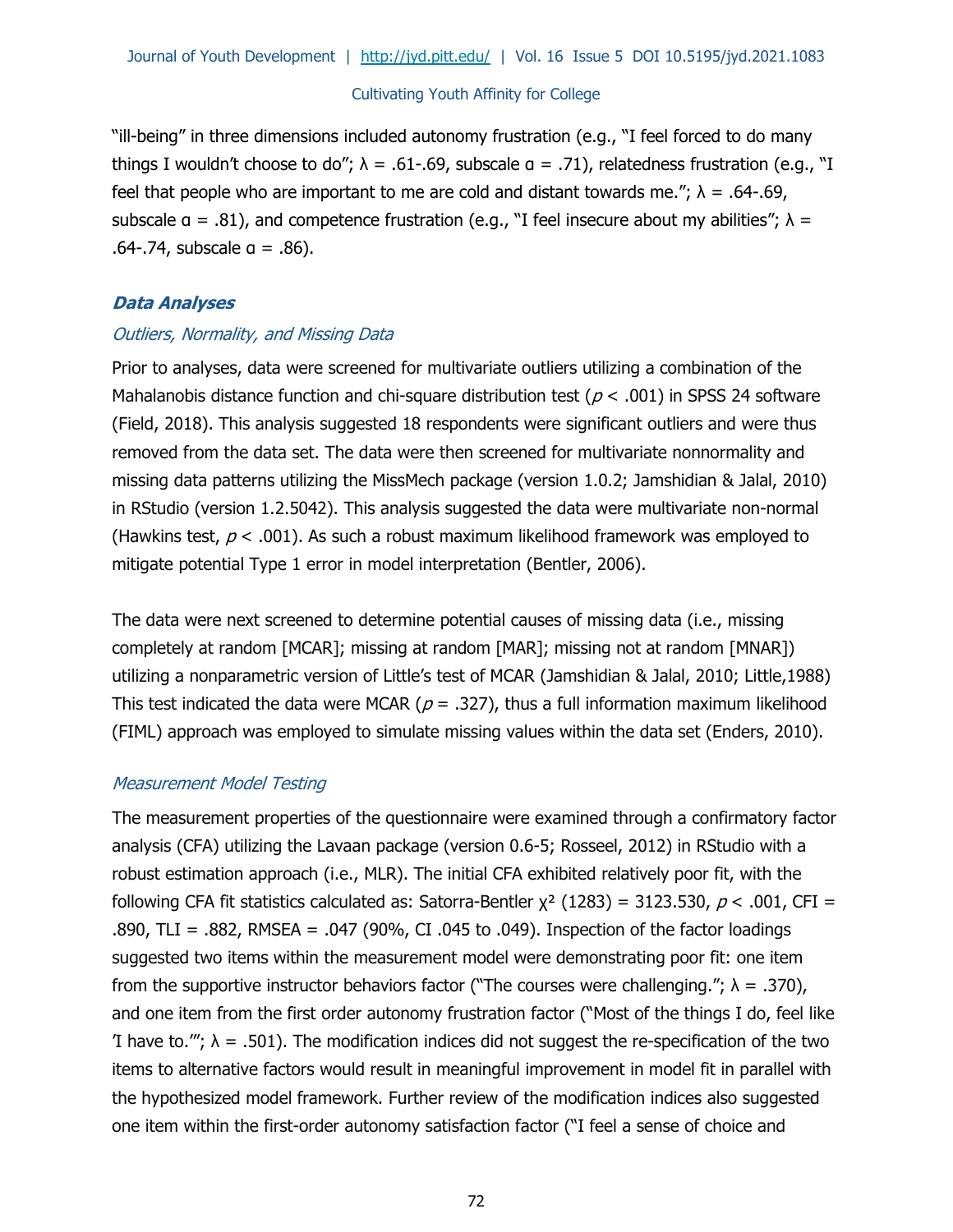"ill-being" in three dimensions included autonomy frustration (e.g., "I feel forced to do many things I wouldn't choose to do";  $\lambda = .61-.69$ , subscale  $a = .71$ ), relatedness frustration (e.g., "I feel that people who are important to me are cold and distant towards me.";  $\lambda = .64-.69$ , subscale  $a = .81$ ), and competence frustration (e.g., "I feel insecure about my abilities";  $\lambda =$ .64-.74, subscale  $a = .86$ ).

## **Data Analyses**

#### Outliers, Normality, and Missing Data

Prior to analyses, data were screened for multivariate outliers utilizing a combination of the Mahalanobis distance function and chi-square distribution test ( $p < .001$ ) in SPSS 24 software (Field, 2018). This analysis suggested 18 respondents were significant outliers and were thus removed from the data set. The data were then screened for multivariate nonnormality and missing data patterns utilizing the MissMech package (version 1.0.2; Jamshidian & Jalal, 2010) in RStudio (version 1.2.5042). This analysis suggested the data were multivariate non-normal (Hawkins test,  $p < .001$ ). As such a robust maximum likelihood framework was employed to mitigate potential Type 1 error in model interpretation (Bentler, 2006).

The data were next screened to determine potential causes of missing data (i.e., missing completely at random [MCAR]; missing at random [MAR]; missing not at random [MNAR]) utilizing a nonparametric version of Little's test of MCAR (Jamshidian & Jalal, 2010; Little,1988) This test indicated the data were MCAR ( $p = .327$ ), thus a full information maximum likelihood (FIML) approach was employed to simulate missing values within the data set (Enders, 2010).

#### Measurement Model Testing

The measurement properties of the questionnaire were examined through a confirmatory factor analysis (CFA) utilizing the Lavaan package (version 0.6-5; Rosseel, 2012) in RStudio with a robust estimation approach (i.e., MLR). The initial CFA exhibited relatively poor fit, with the following CFA fit statistics calculated as: Satorra-Bentler  $\chi^2$  (1283) = 3123.530, p < .001, CFI = .890, TLI = .882, RMSEA = .047 (90%, CI .045 to .049). Inspection of the factor loadings suggested two items within the measurement model were demonstrating poor fit: one item from the supportive instructor behaviors factor ("The courses were challenging.";  $\lambda = .370$ ), and one item from the first order autonomy frustration factor ("Most of the things I do, feel like T have to.";  $\lambda = .501$ ). The modification indices did not suggest the re-specification of the two items to alternative factors would result in meaningful improvement in model fit in parallel with the hypothesized model framework. Further review of the modification indices also suggested one item within the first-order autonomy satisfaction factor ("I feel a sense of choice and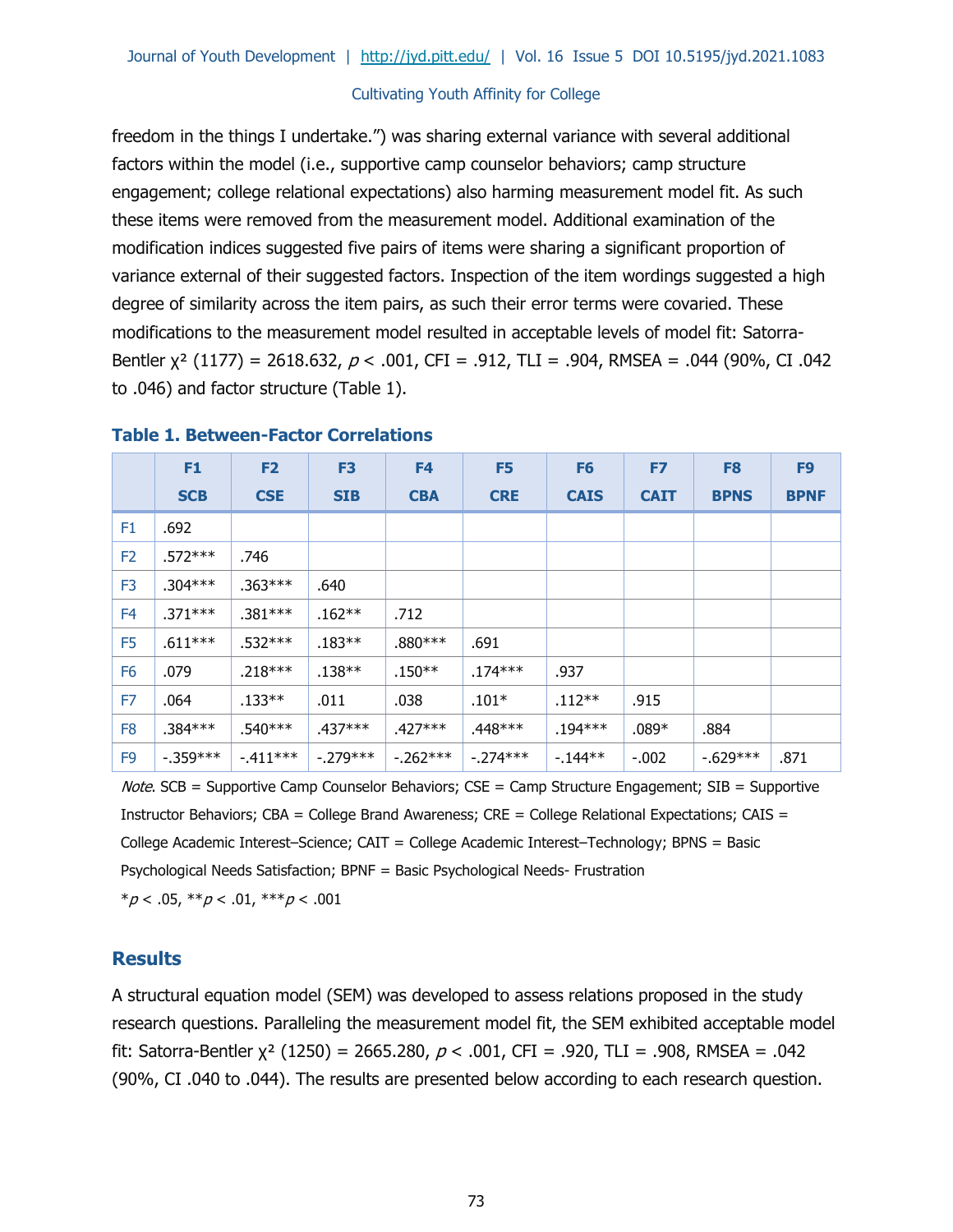freedom in the things I undertake.") was sharing external variance with several additional factors within the model (i.e., supportive camp counselor behaviors; camp structure engagement; college relational expectations) also harming measurement model fit. As such these items were removed from the measurement model. Additional examination of the modification indices suggested five pairs of items were sharing a significant proportion of variance external of their suggested factors. Inspection of the item wordings suggested a high degree of similarity across the item pairs, as such their error terms were covaried. These modifications to the measurement model resulted in acceptable levels of model fit: Satorra-Bentler  $x^2$  (1177) = 2618.632,  $p < .001$ , CFI = .912, TLI = .904, RMSEA = .044 (90%, CI .042 to .046) and factor structure (Table 1).

|                | F1         | F <sub>2</sub> | F <sub>3</sub> | F <sub>4</sub> | F <sub>5</sub> | F <sub>6</sub> | F7          | F <sub>8</sub> | F <sub>9</sub> |
|----------------|------------|----------------|----------------|----------------|----------------|----------------|-------------|----------------|----------------|
|                | <b>SCB</b> | <b>CSE</b>     | <b>SIB</b>     | <b>CBA</b>     | <b>CRE</b>     | <b>CAIS</b>    | <b>CAIT</b> | <b>BPNS</b>    | <b>BPNF</b>    |
| F <sub>1</sub> | .692       |                |                |                |                |                |             |                |                |
| F <sub>2</sub> | $.572***$  | .746           |                |                |                |                |             |                |                |
| F <sub>3</sub> | $.304***$  | $.363***$      | .640           |                |                |                |             |                |                |
| F <sub>4</sub> | $.371***$  | $.381***$      | $.162**$       | .712           |                |                |             |                |                |
| F <sub>5</sub> | $.611***$  | $.532***$      | $.183**$       | $.880***$      | .691           |                |             |                |                |
| F <sub>6</sub> | .079       | $.218***$      | $.138**$       | $.150**$       | $.174***$      | .937           |             |                |                |
| F7             | .064       | $.133**$       | .011           | .038           | $.101*$        | $.112**$       | .915        |                |                |
| F <sub>8</sub> | $.384***$  | $.540***$      | $.437***$      | $.427***$      | $.448***$      | $.194***$      | $.089*$     | .884           |                |
| F <sub>9</sub> | $-.359***$ | $-411***$      | $-.279***$     | $-.262***$     | $-.274***$     | $-144**$       | $-.002$     | $-629***$      | .871           |

#### **Table 1. Between-Factor Correlations**

*Note.* SCB = Supportive Camp Counselor Behaviors; CSE = Camp Structure Engagement; SIB = Supportive Instructor Behaviors;  $CBA = College$  Brand Awareness;  $CRE = College$  Relational Expectations;  $CAS =$ College Academic Interest–Science; CAIT = College Academic Interest–Technology; BPNS = Basic Psychological Needs Satisfaction; BPNF = Basic Psychological Needs- Frustration  $**p* < .05, ***p* < .01, ****p* < .001$ 

## **Results**

A structural equation model (SEM) was developed to assess relations proposed in the study research questions. Paralleling the measurement model fit, the SEM exhibited acceptable model fit: Satorra-Bentler  $χ²$  (1250) = 2665.280,  $p < .001$ , CFI = .920, TLI = .908, RMSEA = .042 (90%, CI .040 to .044). The results are presented below according to each research question.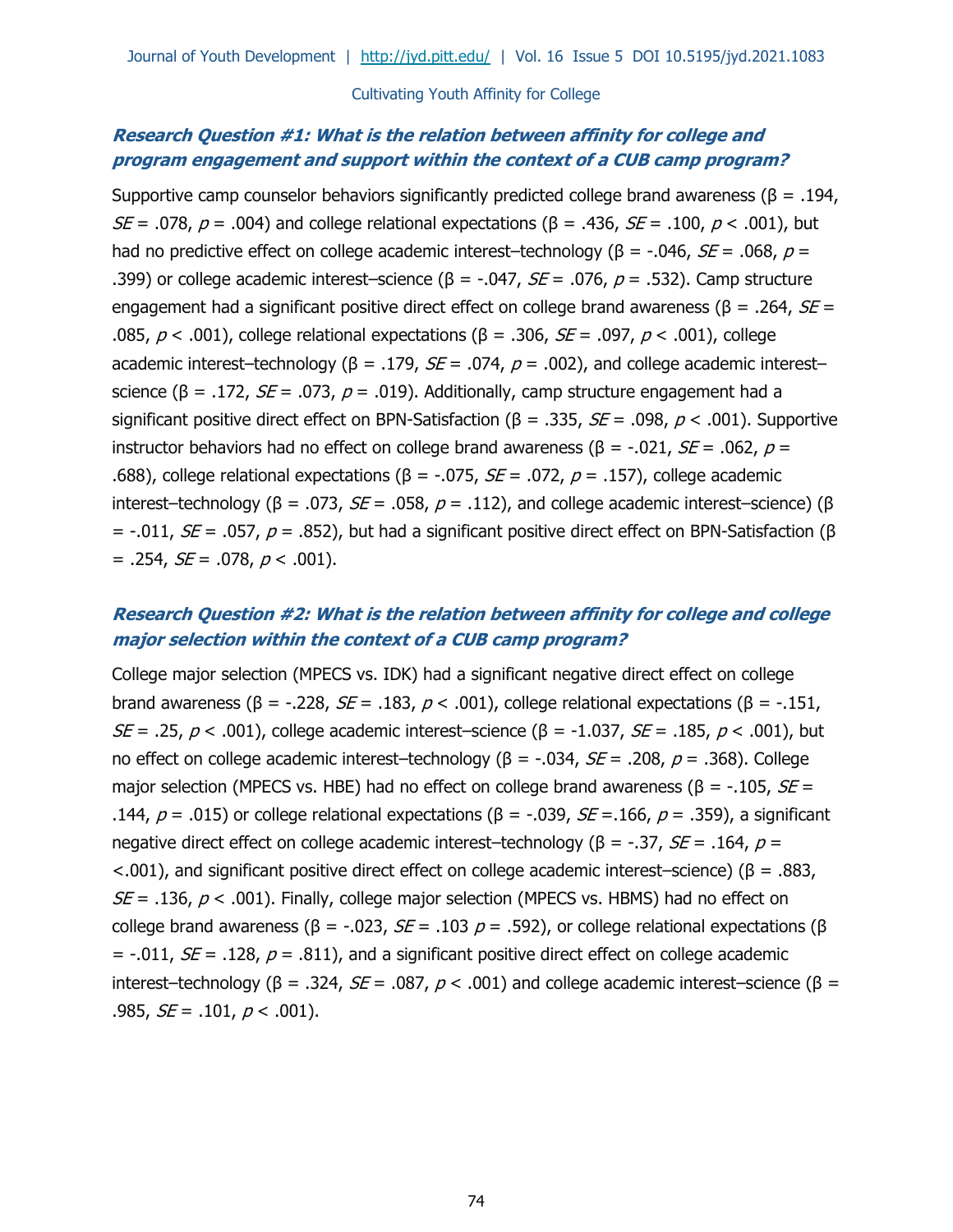# **Research Question #1: What is the relation between affinity for college and program engagement and support within the context of a CUB camp program?**

Supportive camp counselor behaviors significantly predicted college brand awareness ( $\beta = .194$ ,  $SE = .078$ ,  $p = .004$ ) and college relational expectations ( $\beta = .436$ ,  $SE = .100$ ,  $p < .001$ ), but had no predictive effect on college academic interest–technology ( $\beta$  = -.046,  $SE$  = .068,  $p$  = .399) or college academic interest–science (β = -.047,  $SE = .076$ ,  $p = .532$ ). Camp structure engagement had a significant positive direct effect on college brand awareness ( $\beta$  = .264,  $SE$  = .085,  $p < .001$ ), college relational expectations (β = .306, *SE* = .097,  $p < .001$ ), college academic interest–technology (β = .179,  $SE = .074$ ,  $p = .002$ ), and college academic interest– science (β = .172,  $SE$  = .073,  $p$  = .019). Additionally, camp structure engagement had a significant positive direct effect on BPN-Satisfaction ( $\beta = .335$ ,  $SE = .098$ ,  $p < .001$ ). Supportive instructor behaviors had no effect on college brand awareness (β = -.021, *SE* = .062, *p* = .688), college relational expectations (β = -.075, *SE* = .072,  $p$  = .157), college academic interest–technology (β = .073,  $SE$  = .058,  $p$  = .112), and college academic interest–science) (β = -.011,  $SE$  = .057,  $ρ$  = .852), but had a significant positive direct effect on BPN-Satisfaction (β  $= .254, SE = .078, p < .001$ ).

# **Research Question #2: What is the relation between affinity for college and college major selection within the context of a CUB camp program?**

College major selection (MPECS vs. IDK) had a significant negative direct effect on college brand awareness (β = -.228, *SE* = .183,  $p$  < .001), college relational expectations (β = -.151, SE = .25,  $p < .001$ ), college academic interest–science (β = -1.037, SE = .185,  $p < .001$ ), but no effect on college academic interest–technology (β = -.034, *SE* = .208,  $p$  = .368). College major selection (MPECS vs. HBE) had no effect on college brand awareness ( $\beta$  = -.105, *SE* = .144,  $p = .015$ ) or college relational expectations (β = -.039, *SE* = .166,  $p = .359$ ), a significant negative direct effect on college academic interest–technology (β = -.37,  $SE$  = .164,  $p$  =  $<$ .001), and significant positive direct effect on college academic interest–science) (β = .883,  $SE = .136$ ,  $p < .001$ ). Finally, college major selection (MPECS vs. HBMS) had no effect on college brand awareness (β = -.023,  $SE = .103$   $p = .592$ ), or college relational expectations (β = -.011,  $SE$  = .128,  $p$  = .811), and a significant positive direct effect on college academic interest–technology (β = .324, *SE* = .087,  $p$  < .001) and college academic interest–science (β = .985,  $SE = .101$ ,  $p < .001$ ).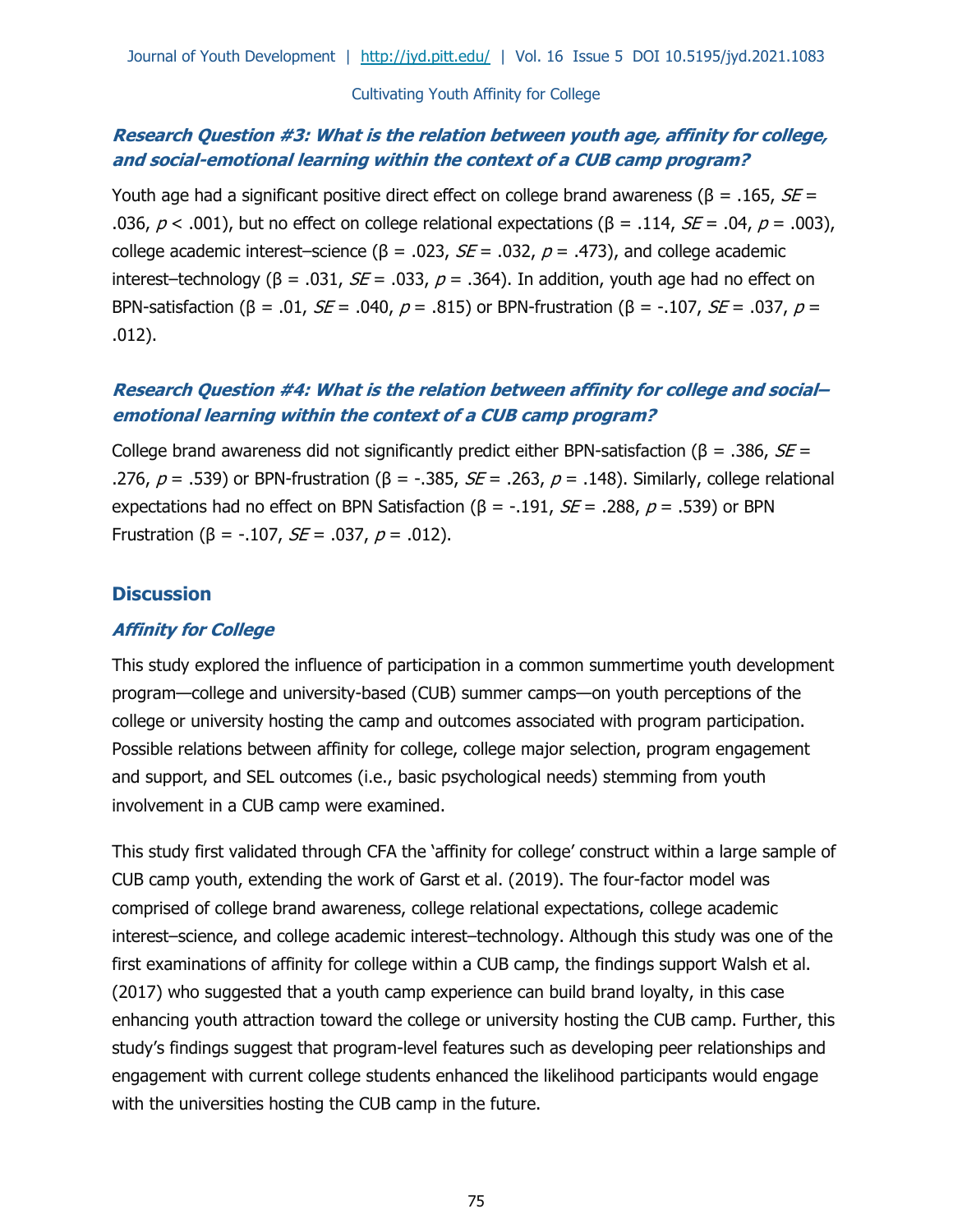# **Research Question #3: What is the relation between youth age, affinity for college, and social-emotional learning within the context of a CUB camp program?**

Youth age had a significant positive direct effect on college brand awareness ( $\beta$  = .165, *SE* = .036, p < .001), but no effect on college relational expectations ( $\beta = .114$ ,  $SE = .04$ ,  $p = .003$ ), college academic interest–science ( $β = .023$ ,  $SE = .032$ ,  $p = .473$ ), and college academic interest–technology (β = .031,  $SE$  = .033,  $p$  = .364). In addition, youth age had no effect on BPN-satisfaction (β = .01, *SE* = .040,  $p = .815$ ) or BPN-frustration (β = -.107, *SE* = .037,  $p =$ .012).

# **Research Question #4: What is the relation between affinity for college and social– emotional learning within the context of a CUB camp program?**

College brand awareness did not significantly predict either BPN-satisfaction ( $\beta$  = .386,  $SE$  = .276,  $p = .539$ ) or BPN-frustration (β = -.385,  $SE = .263$ ,  $p = .148$ ). Similarly, college relational expectations had no effect on BPN Satisfaction (β = -.191,  $SE$  = .288,  $p$  = .539) or BPN Frustration (β = -.107, *SE* = .037, *p* = .012).

## **Discussion**

## **Affinity for College**

This study explored the influence of participation in a common summertime youth development program—college and university-based (CUB) summer camps—on youth perceptions of the college or university hosting the camp and outcomes associated with program participation. Possible relations between affinity for college, college major selection, program engagement and support, and SEL outcomes (i.e., basic psychological needs) stemming from youth involvement in a CUB camp were examined.

This study first validated through CFA the 'affinity for college' construct within a large sample of CUB camp youth, extending the work of Garst et al. (2019). The four-factor model was comprised of college brand awareness, college relational expectations, college academic interest–science, and college academic interest–technology. Although this study was one of the first examinations of affinity for college within a CUB camp, the findings support Walsh et al. (2017) who suggested that a youth camp experience can build brand loyalty, in this case enhancing youth attraction toward the college or university hosting the CUB camp. Further, this study's findings suggest that program-level features such as developing peer relationships and engagement with current college students enhanced the likelihood participants would engage with the universities hosting the CUB camp in the future.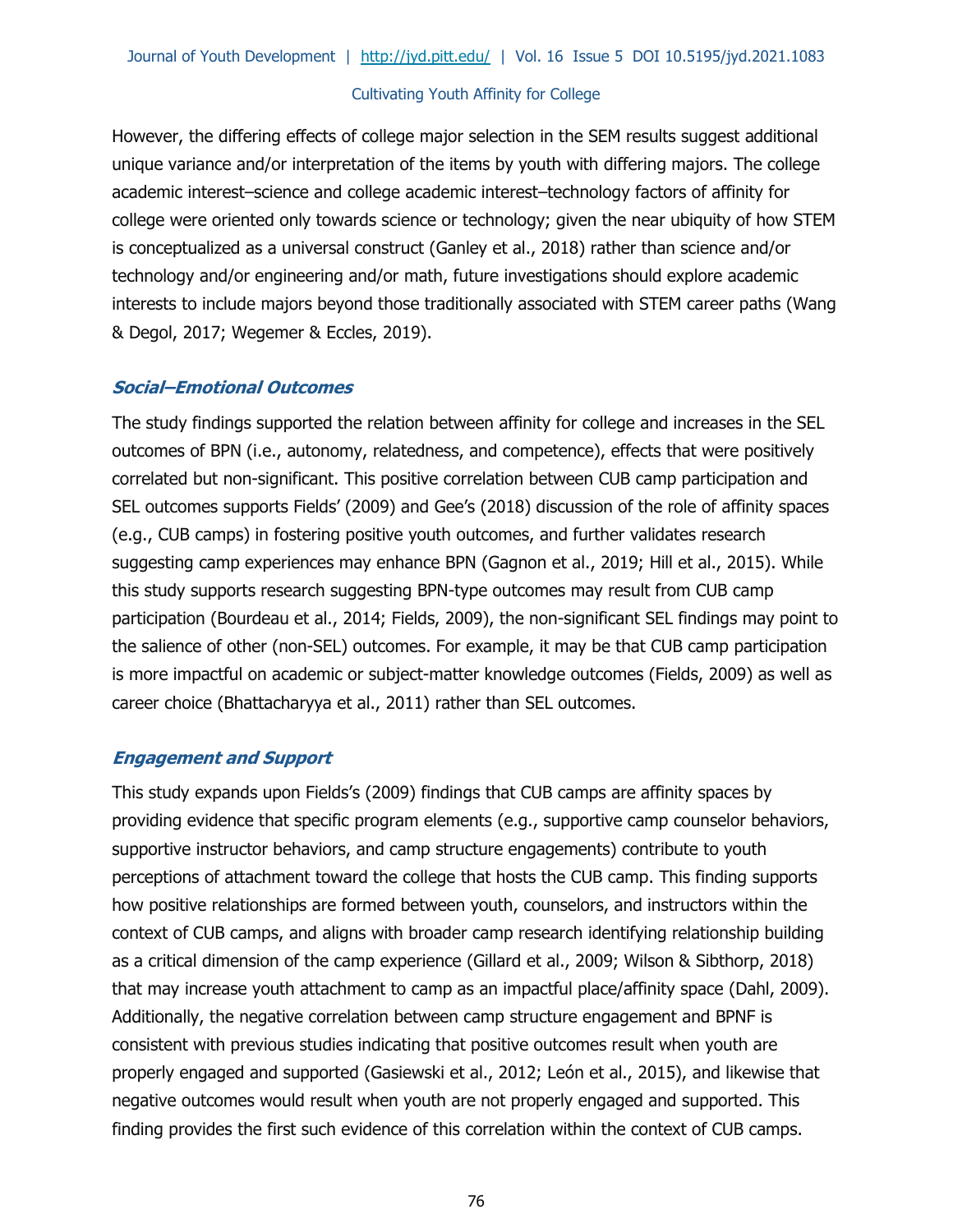However, the differing effects of college major selection in the SEM results suggest additional unique variance and/or interpretation of the items by youth with differing majors. The college academic interest–science and college academic interest–technology factors of affinity for college were oriented only towards science or technology; given the near ubiquity of how STEM is conceptualized as a universal construct (Ganley et al., 2018) rather than science and/or technology and/or engineering and/or math, future investigations should explore academic interests to include majors beyond those traditionally associated with STEM career paths (Wang & Degol, 2017; Wegemer & Eccles, 2019).

## **Social–Emotional Outcomes**

The study findings supported the relation between affinity for college and increases in the SEL outcomes of BPN (i.e., autonomy, relatedness, and competence), effects that were positively correlated but non-significant. This positive correlation between CUB camp participation and SEL outcomes supports Fields' (2009) and Gee's (2018) discussion of the role of affinity spaces (e.g., CUB camps) in fostering positive youth outcomes, and further validates research suggesting camp experiences may enhance BPN (Gagnon et al., 2019; Hill et al., 2015). While this study supports research suggesting BPN-type outcomes may result from CUB camp participation (Bourdeau et al., 2014; Fields, 2009), the non-significant SEL findings may point to the salience of other (non-SEL) outcomes. For example, it may be that CUB camp participation is more impactful on academic or subject-matter knowledge outcomes (Fields, 2009) as well as career choice (Bhattacharyya et al., 2011) rather than SEL outcomes.

#### **Engagement and Support**

This study expands upon Fields's (2009) findings that CUB camps are affinity spaces by providing evidence that specific program elements (e.g., supportive camp counselor behaviors, supportive instructor behaviors, and camp structure engagements) contribute to youth perceptions of attachment toward the college that hosts the CUB camp. This finding supports how positive relationships are formed between youth, counselors, and instructors within the context of CUB camps, and aligns with broader camp research identifying relationship building as a critical dimension of the camp experience (Gillard et al., 2009; Wilson & Sibthorp, 2018) that may increase youth attachment to camp as an impactful place/affinity space (Dahl, 2009). Additionally, the negative correlation between camp structure engagement and BPNF is consistent with previous studies indicating that positive outcomes result when youth are properly engaged and supported (Gasiewski et al., 2012; León et al., 2015), and likewise that negative outcomes would result when youth are not properly engaged and supported. This finding provides the first such evidence of this correlation within the context of CUB camps.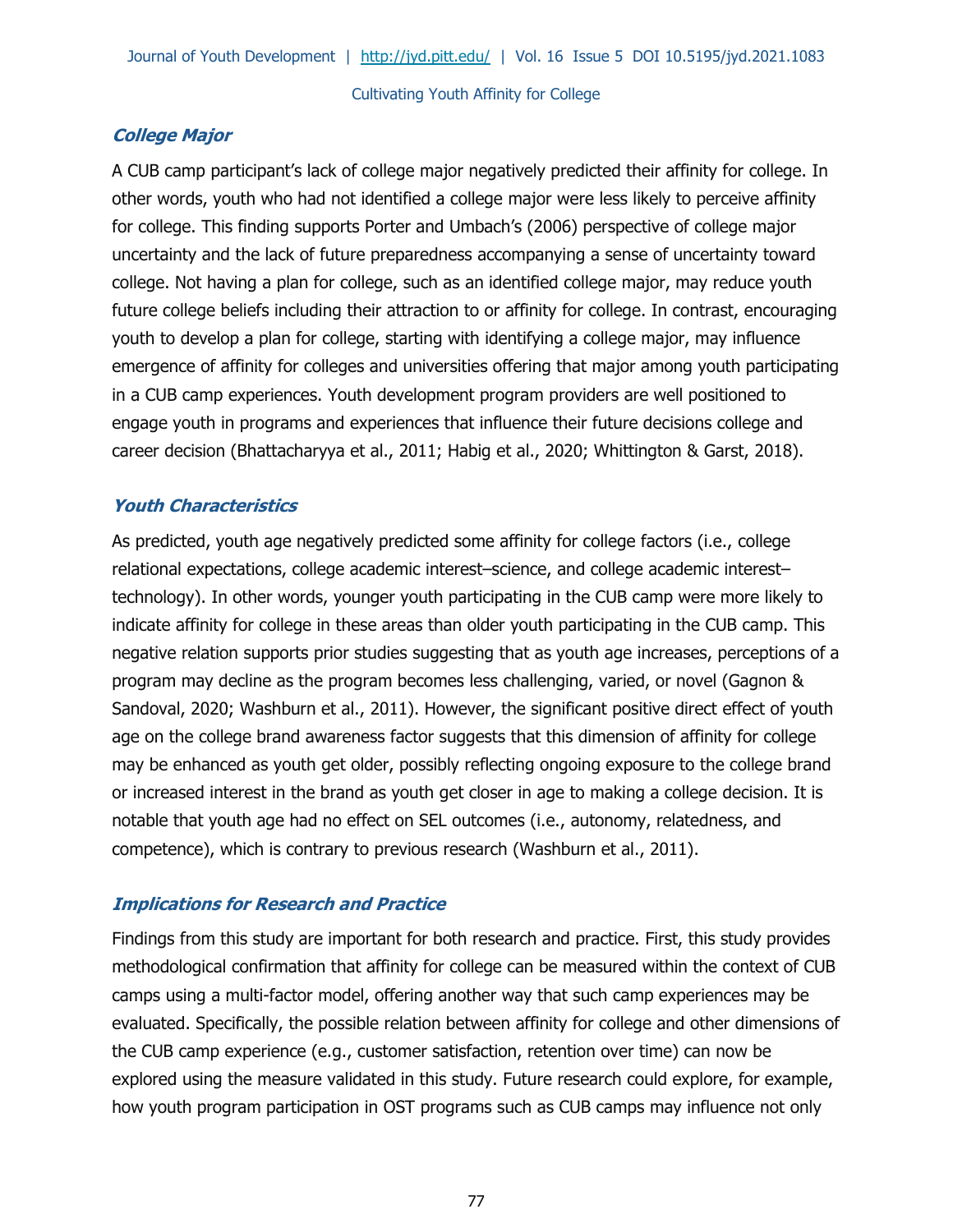## **College Major**

A CUB camp participant's lack of college major negatively predicted their affinity for college. In other words, youth who had not identified a college major were less likely to perceive affinity for college. This finding supports Porter and Umbach's (2006) perspective of college major uncertainty and the lack of future preparedness accompanying a sense of uncertainty toward college. Not having a plan for college, such as an identified college major, may reduce youth future college beliefs including their attraction to or affinity for college. In contrast, encouraging youth to develop a plan for college, starting with identifying a college major, may influence emergence of affinity for colleges and universities offering that major among youth participating in a CUB camp experiences. Youth development program providers are well positioned to engage youth in programs and experiences that influence their future decisions college and career decision (Bhattacharyya et al., 2011; Habig et al., 2020; Whittington & Garst, 2018).

## **Youth Characteristics**

As predicted, youth age negatively predicted some affinity for college factors (i.e., college relational expectations, college academic interest–science, and college academic interest– technology). In other words, younger youth participating in the CUB camp were more likely to indicate affinity for college in these areas than older youth participating in the CUB camp. This negative relation supports prior studies suggesting that as youth age increases, perceptions of a program may decline as the program becomes less challenging, varied, or novel (Gagnon & Sandoval, 2020; Washburn et al., 2011). However, the significant positive direct effect of youth age on the college brand awareness factor suggests that this dimension of affinity for college may be enhanced as youth get older, possibly reflecting ongoing exposure to the college brand or increased interest in the brand as youth get closer in age to making a college decision. It is notable that youth age had no effect on SEL outcomes (i.e., autonomy, relatedness, and competence), which is contrary to previous research (Washburn et al., 2011).

# **Implications for Research and Practice**

Findings from this study are important for both research and practice. First, this study provides methodological confirmation that affinity for college can be measured within the context of CUB camps using a multi-factor model, offering another way that such camp experiences may be evaluated. Specifically, the possible relation between affinity for college and other dimensions of the CUB camp experience (e.g., customer satisfaction, retention over time) can now be explored using the measure validated in this study. Future research could explore, for example, how youth program participation in OST programs such as CUB camps may influence not only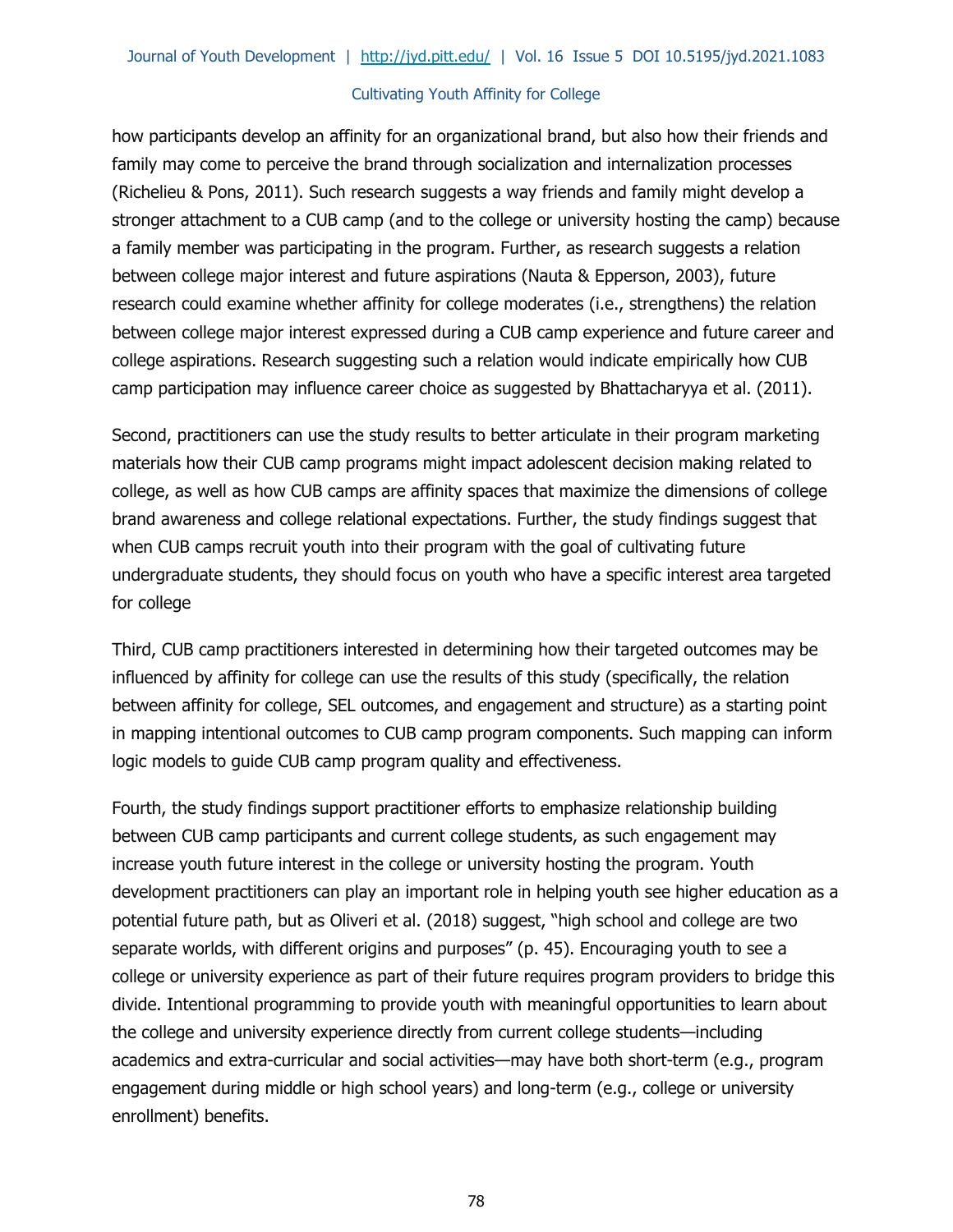how participants develop an affinity for an organizational brand, but also how their friends and family may come to perceive the brand through socialization and internalization processes (Richelieu & Pons, 2011). Such research suggests a way friends and family might develop a stronger attachment to a CUB camp (and to the college or university hosting the camp) because a family member was participating in the program. Further, as research suggests a relation between college major interest and future aspirations (Nauta & Epperson, 2003), future research could examine whether affinity for college moderates (i.e., strengthens) the relation between college major interest expressed during a CUB camp experience and future career and college aspirations. Research suggesting such a relation would indicate empirically how CUB camp participation may influence career choice as suggested by Bhattacharyya et al. (2011).

Second, practitioners can use the study results to better articulate in their program marketing materials how their CUB camp programs might impact adolescent decision making related to college, as well as how CUB camps are affinity spaces that maximize the dimensions of college brand awareness and college relational expectations. Further, the study findings suggest that when CUB camps recruit youth into their program with the goal of cultivating future undergraduate students, they should focus on youth who have a specific interest area targeted for college

Third, CUB camp practitioners interested in determining how their targeted outcomes may be influenced by affinity for college can use the results of this study (specifically, the relation between affinity for college, SEL outcomes, and engagement and structure) as a starting point in mapping intentional outcomes to CUB camp program components. Such mapping can inform logic models to guide CUB camp program quality and effectiveness.

Fourth, the study findings support practitioner efforts to emphasize relationship building between CUB camp participants and current college students, as such engagement may increase youth future interest in the college or university hosting the program. Youth development practitioners can play an important role in helping youth see higher education as a potential future path, but as Oliveri et al. (2018) suggest, "high school and college are two separate worlds, with different origins and purposes" (p. 45). Encouraging youth to see a college or university experience as part of their future requires program providers to bridge this divide. Intentional programming to provide youth with meaningful opportunities to learn about the college and university experience directly from current college students—including academics and extra-curricular and social activities—may have both short-term (e.g., program engagement during middle or high school years) and long-term (e.g., college or university enrollment) benefits.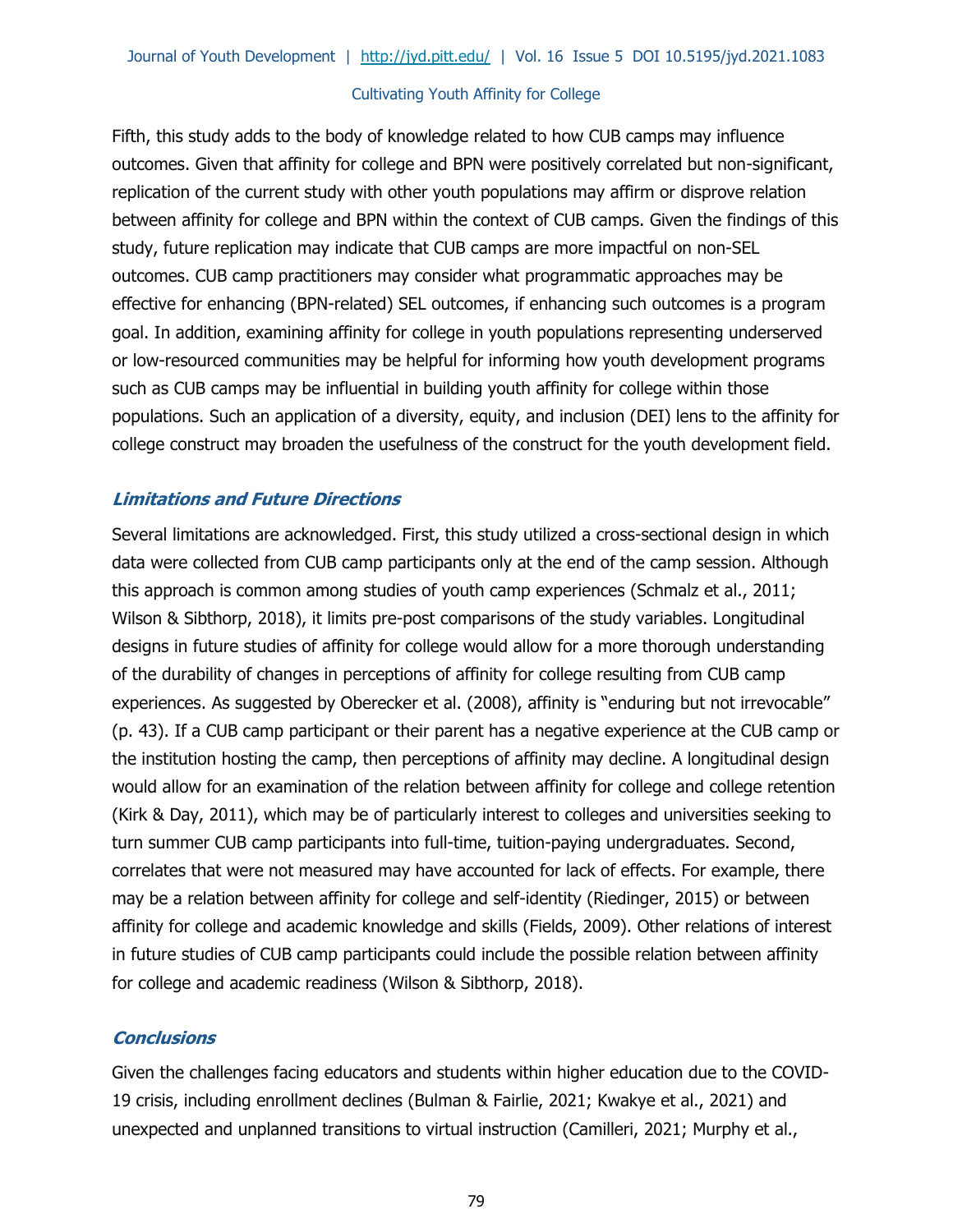Fifth, this study adds to the body of knowledge related to how CUB camps may influence outcomes. Given that affinity for college and BPN were positively correlated but non-significant, replication of the current study with other youth populations may affirm or disprove relation between affinity for college and BPN within the context of CUB camps. Given the findings of this study, future replication may indicate that CUB camps are more impactful on non-SEL outcomes. CUB camp practitioners may consider what programmatic approaches may be effective for enhancing (BPN-related) SEL outcomes, if enhancing such outcomes is a program goal. In addition, examining affinity for college in youth populations representing underserved or low-resourced communities may be helpful for informing how youth development programs such as CUB camps may be influential in building youth affinity for college within those populations. Such an application of a diversity, equity, and inclusion (DEI) lens to the affinity for college construct may broaden the usefulness of the construct for the youth development field.

## **Limitations and Future Directions**

Several limitations are acknowledged. First, this study utilized a cross-sectional design in which data were collected from CUB camp participants only at the end of the camp session. Although this approach is common among studies of youth camp experiences (Schmalz et al., 2011; Wilson & Sibthorp, 2018), it limits pre-post comparisons of the study variables. Longitudinal designs in future studies of affinity for college would allow for a more thorough understanding of the durability of changes in perceptions of affinity for college resulting from CUB camp experiences. As suggested by Oberecker et al. (2008), affinity is "enduring but not irrevocable" (p. 43). If a CUB camp participant or their parent has a negative experience at the CUB camp or the institution hosting the camp, then perceptions of affinity may decline. A longitudinal design would allow for an examination of the relation between affinity for college and college retention (Kirk & Day, 2011), which may be of particularly interest to colleges and universities seeking to turn summer CUB camp participants into full-time, tuition-paying undergraduates. Second, correlates that were not measured may have accounted for lack of effects. For example, there may be a relation between affinity for college and self-identity (Riedinger, 2015) or between affinity for college and academic knowledge and skills (Fields, 2009). Other relations of interest in future studies of CUB camp participants could include the possible relation between affinity for college and academic readiness (Wilson & Sibthorp, 2018).

## **Conclusions**

Given the challenges facing educators and students within higher education due to the COVID-19 crisis, including enrollment declines (Bulman & Fairlie, 2021; Kwakye et al., 2021) and unexpected and unplanned transitions to virtual instruction (Camilleri, 2021; Murphy et al.,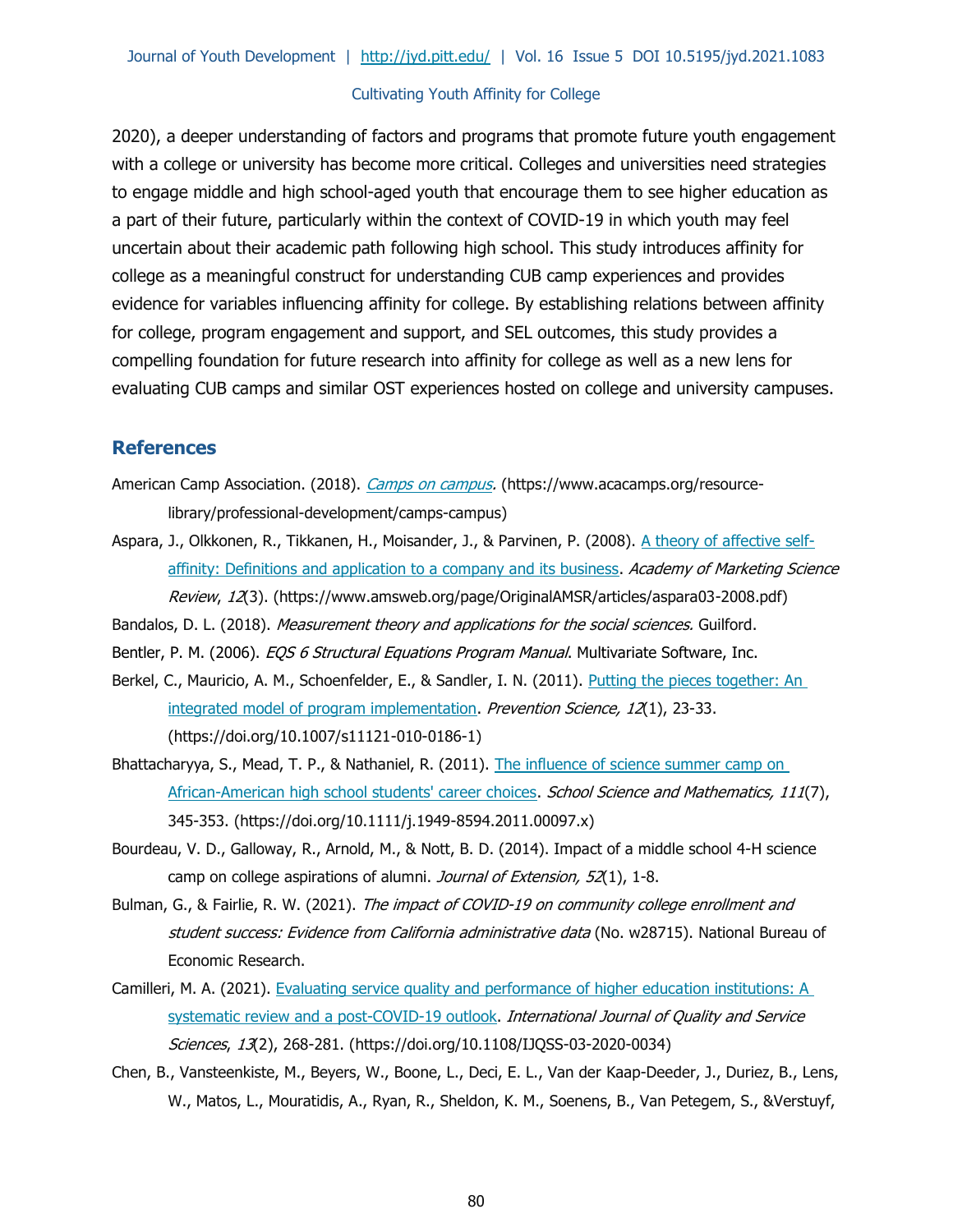2020), a deeper understanding of factors and programs that promote future youth engagement with a college or university has become more critical. Colleges and universities need strategies to engage middle and high school-aged youth that encourage them to see higher education as a part of their future, particularly within the context of COVID-19 in which youth may feel uncertain about their academic path following high school. This study introduces affinity for college as a meaningful construct for understanding CUB camp experiences and provides evidence for variables influencing affinity for college. By establishing relations between affinity for college, program engagement and support, and SEL outcomes, this study provides a compelling foundation for future research into affinity for college as well as a new lens for evaluating CUB camps and similar OST experiences hosted on college and university campuses.

#### **References**

- American Camp Association. (2018). *[Camps on campus.](https://www.acacamps.org/resource-library/professional-development/camps-campus)* (https://www.acacamps.org/resourcelibrary/professional-development/camps-campus)
- Aspara, J., Olkkonen, R., Tikkanen, H., Moisander, J., & Parvinen, P. (2008). [A theory of affective self](https://www.amsweb.org/page/OriginalAMSR/articles/aspara03-2008.pdf)[affinity: Definitions and application to a company and its business.](https://www.amsweb.org/page/OriginalAMSR/articles/aspara03-2008.pdf) Academy of Marketing Science Review, 12(3). (https://www.amsweb.org/page/OriginalAMSR/articles/aspara03-2008.pdf)
- Bandalos, D. L. (2018). Measurement theory and applications for the social sciences. Guilford.
- Bentler, P. M. (2006). EQS 6 Structural Equations Program Manual. Multivariate Software, Inc.
- Berkel, C., Mauricio, A. M., Schoenfelder, E., & Sandler, I. N. (2011). Putting the pieces together: An [integrated model of program implementation.](https://doi.org/10.1007/s11121-010-0186-1) Prevention Science, 12(1), 23-33. (https://doi.org/10.1007/s11121-010-0186-1)
- Bhattacharyya, S., Mead, T. P., & Nathaniel, R. (2011). The influence of science summer camp on African-American high school students' career choices. School Science and Mathematics, 111(7), 345-353. (https://doi.org/10.1111/j.1949-8594.2011.00097.x)
- Bourdeau, V. D., Galloway, R., Arnold, M., & Nott, B. D. (2014). Impact of a middle school 4-H science camp on college aspirations of alumni. Journal of Extension, 52(1), 1-8.
- Bulman, G., & Fairlie, R. W. (2021). The impact of COVID-19 on community college enrollment and student success: Evidence from California administrative data (No. w28715). National Bureau of Economic Research.
- Camilleri, M. A. (2021). Evaluating service quality and performance of higher education institutions: A [systematic review and a post-COVID-19 outlook.](https://doi.org/10.1108/IJQSS-03-2020-0034) International Journal of Quality and Service Sciences, 13(2), 268-281. (https://doi.org/10.1108/IJQSS-03-2020-0034)
- Chen, B., Vansteenkiste, M., Beyers, W., Boone, L., Deci, E. L., Van der Kaap-Deeder, J., Duriez, B., Lens, W., Matos, L., Mouratidis, A., Ryan, R., Sheldon, K. M., Soenens, B., Van Petegem, S., &Verstuyf,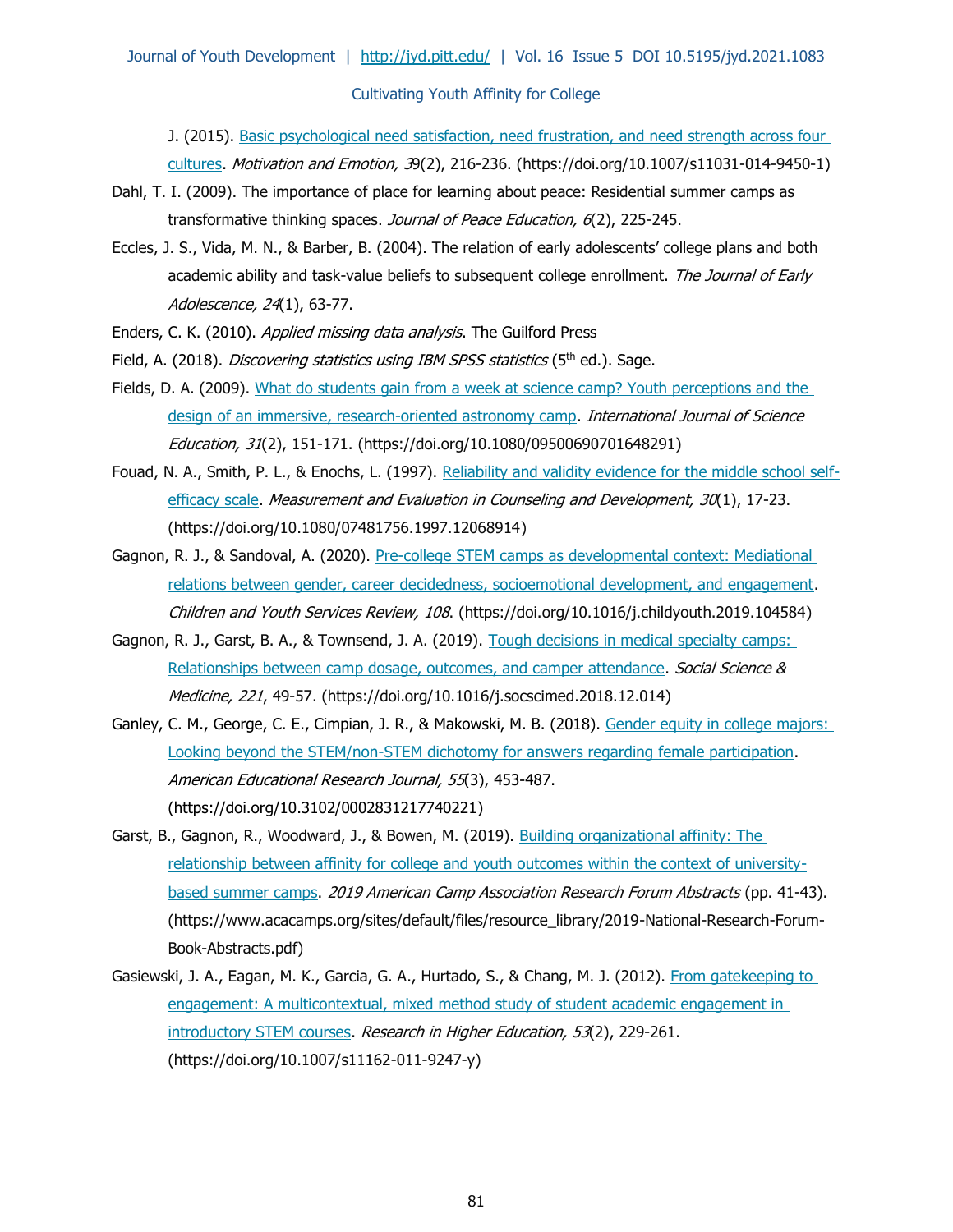J. (2015). Basic psychological need satisfaction, need frustration, and need strength across four [cultures.](https://doi.org/10.1007/s11031-014-9450-1) Motivation and Emotion, 39(2), 216-236. (https://doi.org/10.1007/s11031-014-9450-1)

- Dahl, T. I. (2009). The importance of place for learning about peace: Residential summer camps as transformative thinking spaces. Journal of Peace Education, 6(2), 225-245.
- Eccles, J. S., Vida, M. N., & Barber, B. (2004). The relation of early adolescents' college plans and both academic ability and task-value beliefs to subsequent college enrollment. The Journal of Early Adolescence, 24(1), 63-77.
- Enders, C. K. (2010). Applied missing data analysis. The Guilford Press
- Field, A. (2018). Discovering statistics using IBM SPSS statistics (5<sup>th</sup> ed.). Sage.
- Fields, D. A. (2009). What do students gain from a week at science camp? Youth perceptions and the design of an immersive, research-oriented astronomy camp. International Journal of Science Education, 31(2), 151-171. (https://doi.org/10.1080/09500690701648291)
- Fouad, N. A., Smith, P. L., & Enochs, L. (1997). [Reliability and validity evidence for the middle school self](https://doi.org/10.1080/07481756.1997.12068914)[efficacy scale.](https://doi.org/10.1080/07481756.1997.12068914) Measurement and Evaluation in Counseling and Development,  $30(1)$ , 17-23. (https://doi.org/10.1080/07481756.1997.12068914)
- Gagnon, R. J., & Sandoval, A. (2020). [Pre-college STEM camps as developmental context: Mediational](https://doi.org/10.1016/j.childyouth.2019.104584) [relations between gender, career decidedness, socioemotional development, and engagement.](https://doi.org/10.1016/j.childyouth.2019.104584) Children and Youth Services Review, 108. (https://doi.org/10.1016/j.childyouth.2019.104584)
- Gagnon, R. J., Garst, B. A., & Townsend, J. A. (2019). Tough decisions in medical specialty camps: [Relationships between camp dosage, outcomes, and camper attendance.](https://doi.org/10.1016/j.socscimed.2018.12.014) Social Science & Medicine, 221, 49-57. (https://doi.org/10.1016/j.socscimed.2018.12.014)
- Ganley, C. M., George, C. E., Cimpian, J. R., & Makowski, M. B. (2018). Gender equity in college majors: [Looking beyond the STEM/non-STEM dichotomy for answers regarding female participation.](https://doi.org/10.3102/0002831217740221) American Educational Research Journal, 55(3), 453-487. (https://doi.org/10.3102/0002831217740221)
- Garst, B., Gagnon, R., Woodward, J., & Bowen, M. (2019). Building organizational affinity: The [relationship between affinity for college and youth outcomes within the context of university](https://www.acacamps.org/sites/default/files/resource_library/2019-National-Research-Forum-Book-Abstracts.pdf)[based summer camps.](https://www.acacamps.org/sites/default/files/resource_library/2019-National-Research-Forum-Book-Abstracts.pdf) 2019 American Camp Association Research Forum Abstracts (pp. 41-43). (https://www.acacamps.org/sites/default/files/resource\_library/2019-National-Research-Forum-Book-Abstracts.pdf)
- Gasiewski, J. A., Eagan, M. K., Garcia, G. A., Hurtado, S., & Chang, M. J. (2012). From gatekeeping to [engagement: A multicontextual, mixed method study of student academic engagement in](https://doi.org/10.1007/s11162-011-9247-y)  [introductory STEM courses.](https://doi.org/10.1007/s11162-011-9247-y) Research in Higher Education, 53(2), 229-261. (https://doi.org/10.1007/s11162-011-9247-y)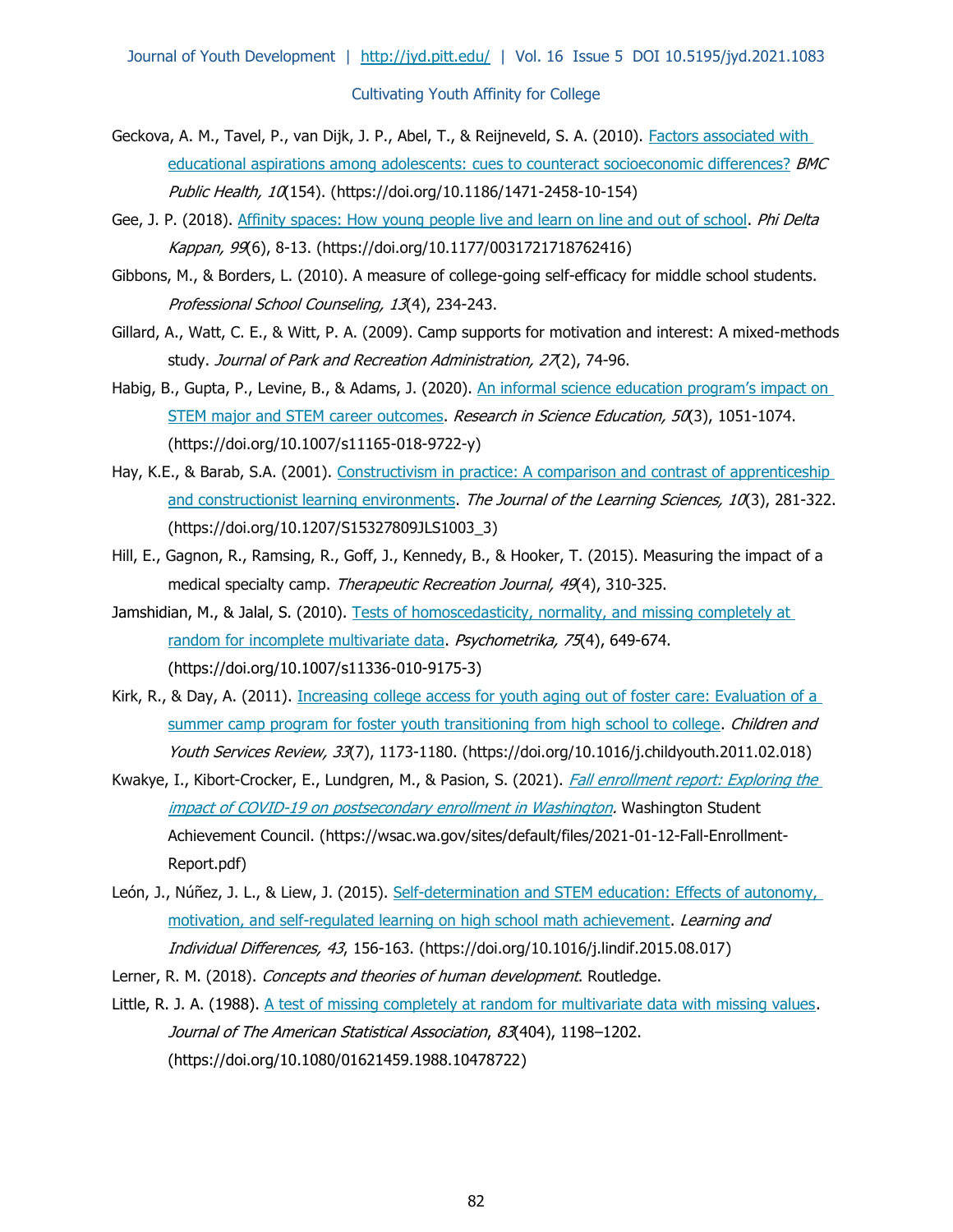- Geckova, A. M., Tavel, P., van Dijk, J. P., Abel, T., & Reijneveld, S. A. (2010). [Factors associated with](https://doi.org/10.1186/1471-2458-10-154)  educational aspirations among adolescents: [cues to counteract socioeconomic differences?](https://doi.org/10.1186/1471-2458-10-154) **BMC** Public Health, 10(154). (https://doi.org/10.1186/1471-2458-10-154)
- Gee, J. P. (2018). [Affinity spaces: How young people live and learn on line and out of school.](https://doi.org/10.1177/0031721718762416) Phi Delta Kappan, 99(6), 8-13. (https://doi.org/10.1177/0031721718762416)
- Gibbons, M., & Borders, L. (2010). A measure of college-going self-efficacy for middle school students. Professional School Counseling, 13(4), 234-243.
- Gillard, A., Watt, C. E., & Witt, P. A. (2009). Camp supports for motivation and interest: A mixed-methods study. Journal of Park and Recreation Administration, 27(2), 74-96.
- Habig, B., Gupta, P., Levine, B., & Adams, J. (2020). An informal science education program's impact on [STEM major and STEM career outcomes.](https://doi.org/10.1007/s11165-018-9722-y) Research in Science Education, 50(3), 1051-1074. (https://doi.org/10.1007/s11165-018-9722-y)
- Hay, K.E., & Barab, S.A. (2001). Constructivism in practice: A comparison and contrast of apprenticeship [and constructionist learning environments.](https://doi.org/10.1207/S15327809JLS1003_3) The Journal of the Learning Sciences, 10(3), 281-322. (https://doi.org/10.1207/S15327809JLS1003\_3)
- Hill, E., Gagnon, R., Ramsing, R., Goff, J., Kennedy, B., & Hooker, T. (2015). Measuring the impact of a medical specialty camp. Therapeutic Recreation Journal, 49(4), 310-325.
- Jamshidian, M., & Jalal, S. (2010). Tests of homoscedasticity, normality, and missing completely at [random for incomplete multivariate data.](https://doi.org/10.1007/s11336-010-9175-3) Psychometrika, 75(4), 649-674. (https://doi.org/10.1007/s11336-010-9175-3)
- Kirk, R., & Day, A. (2011). Increasing college access for youth aging out of foster care: Evaluation of a [summer camp program for foster youth transitioning from high school to college.](https://doi.org/10.1016/j.childyouth.2011.02.018) Children and Youth Services Review, 33(7), 1173-1180. (https://doi.org/10.1016/j.childyouth.2011.02.018)
- Kwakye, I., Kibort-Crocker, E., Lundgren, M., & Pasion, S. (2021). *Fall enrollment report: Exploring the* [impact of COVID-19 on postsecondary enrollment in Washington.](https://wsac.wa.gov/sites/default/files/2021-01-12-Fall-Enrollment-Report.pdf) Washington Student Achievement Council. (https://wsac.wa.gov/sites/default/files/2021-01-12-Fall-Enrollment-Report.pdf)
- León, J., Núñez, J. L., & Liew, J. (2015). Self-determination and STEM education: Effects of autonomy, [motivation, and self-regulated learning on high school math achievement.](https://doi.org/10.1016/j.lindif.2015.08.017) Learning and Individual Differences, 43, 156-163. (https://doi.org/10.1016/j.lindif.2015.08.017)
- Lerner, R. M. (2018). Concepts and theories of human development. Routledge.
- Little, R. J. A. (1988). [A test of missing completely at random for multivariate data with missing values.](https://doi.org/10.1080/01621459.1988.10478722) Journal of The American Statistical Association, 83(404), 1198–1202. (https://doi.org/10.1080/01621459.1988.10478722)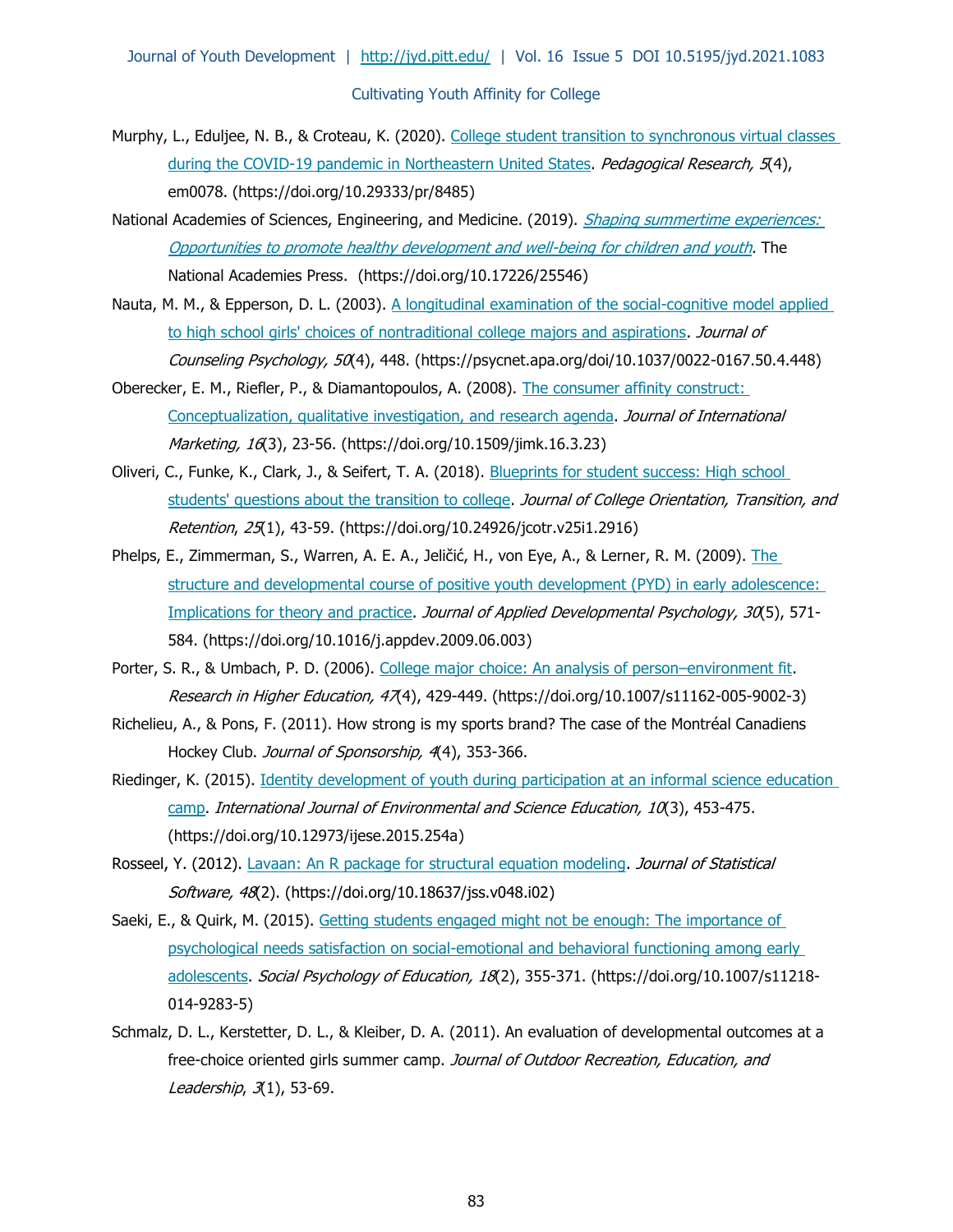- Murphy, L., Eduljee, N. B., & Croteau, K. (2020). College student transition to synchronous virtual classes [during the COVID-19 pandemic in Northeastern United States.](https://doi.org/10.29333/pr/8485) Pedagogical Research, 5(4), em0078. (https://doi.org/10.29333/pr/8485)
- National Academies of Sciences, Engineering, and Medicine. (2019). Shaping summertime experiences: [Opportunities to promote healthy development and well-being for children and youth.](https://doi.org/10.17226/25546) The National Academies Press. (https://doi.org/10.17226/25546)
- Nauta, M. M., & Epperson, D. L. (2003). [A longitudinal examination of the social-cognitive model applied](https://psycnet.apa.org/doi/10.1037/0022-0167.50.4.448)  [to high school girls' choices of nontraditional college majors and aspirations.](https://psycnet.apa.org/doi/10.1037/0022-0167.50.4.448) Journal of Counseling Psychology, 50(4), 448. (https://psycnet.apa.org/doi/10.1037/0022-0167.50.4.448)
- Oberecker, E. M., Riefler, P., & Diamantopoulos, A. (2008). [The consumer affinity construct:](https://doi.org/10.1509/jimk.16.3.23)  [Conceptualization, qualitative investigation, and research agenda.](https://doi.org/10.1509/jimk.16.3.23) Journal of International Marketing, 16(3), 23-56. (https://doi.org/10.1509/jimk.16.3.23)
- Oliveri, C., Funke, K., Clark, J., & Seifert, T. A. (2018). [Blueprints for student success: High](https://doi.org/10.24926/jcotr.v25i1.2916) school [students' questions about the transition to college.](https://doi.org/10.24926/jcotr.v25i1.2916) Journal of College Orientation, Transition, and Retention, 25(1), 43-59. (https://doi.org/10.24926/jcotr.v25i1.2916)
- Phelps, E., Zimmerman, S., Warren, A. E. A., Jeličić, H., von Eye, A., & Lerner, R. M. (2009). The structure and developmental course of positive youth development (PYD) in early adolescence: [Implications for theory and practice.](https://doi.org/10.1016/j.appdev.2009.06.003) Journal of Applied Developmental Psychology, 30(5), 571-584. (https://doi.org/10.1016/j.appdev.2009.06.003)
- Porter, S. R., & Umbach, P. D. (2006). [College major choice: An analysis of person](https://doi.org/10.1007/s11162-005-9002-3)–environment fit. Research in Higher Education, 47(4), 429-449. (https://doi.org/10.1007/s11162-005-9002-3)
- Richelieu, A., & Pons, F. (2011). How strong is my sports brand? The case of the Montréal Canadiens Hockey Club. Journal of Sponsorship, 4(4), 353-366.
- Riedinger, K. (2015). [Identity development of youth during participation at an informal science education](https://doi.org/10.12973/ijese.2015.254a)  [camp.](https://doi.org/10.12973/ijese.2015.254a) International Journal of Environmental and Science Education, 10(3), 453-475. (https://doi.org/10.12973/ijese.2015.254a)
- Rosseel, Y. (2012). [Lavaan: An R package for structural equation modeling.](https://doi.org/10.18637/jss.v048.i02) Journal of Statistical Software, 48(2). (https://doi.org/10.18637/jss.v048.i02)
- Saeki, E., & Quirk, M. (2015). Getting students engaged might not be enough: The importance of [psychological needs satisfaction on social-emotional and behavioral functioning among early](https://doi.org/10.1007/s11218-014-9283-5)  [adolescents.](https://doi.org/10.1007/s11218-014-9283-5) Social Psychology of Education, 18(2), 355-371. (https://doi.org/10.1007/s11218-014-9283-5)
- Schmalz, D. L., Kerstetter, D. L., & Kleiber, D. A. (2011). An evaluation of developmental outcomes at a free-choice oriented girls summer camp. Journal of Outdoor Recreation, Education, and Leadership, 3(1), 53-69.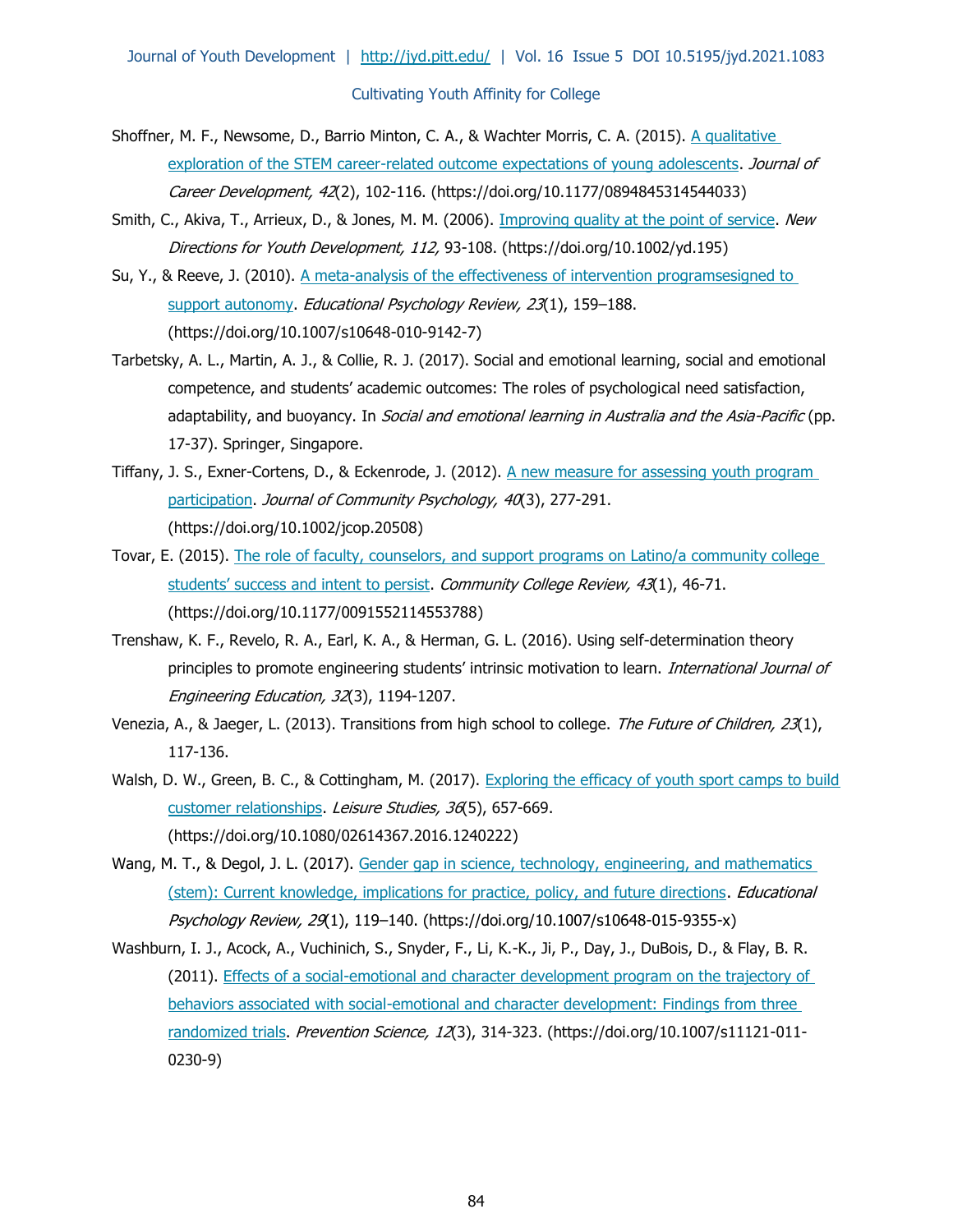- Shoffner, M. F., Newsome, D., Barrio Minton, C. A., & Wachter Morris, C. A. (2015). [A qualitative](https://doi.org/10.1177/0894845314544033)  [exploration of the STEM career-related outcome expectations of young adolescents.](https://doi.org/10.1177/0894845314544033) Journal of Career Development, 42(2), 102-116. (https://doi.org/10.1177/0894845314544033)
- Smith, C., Akiva, T., Arrieux, D., & Jones, M. M. (2006). [Improving quality at the point of service.](https://doi.org/10.1002/yd.195) New Directions for Youth Development, 112, 93-108. (https://doi.org/10.1002/yd.195)
- Su, Y., & Reeve, J. (2010). [A meta-analysis of the effectiveness of intervention programsesigned to](https://doi.org/10.1007/s10648-010-9142-7)  [support autonomy.](https://doi.org/10.1007/s10648-010-9142-7) Educational Psychology Review, 23(1), 159-188. (https://doi.org/10.1007/s10648-010-9142-7)
- Tarbetsky, A. L., Martin, A. J., & Collie, R. J. (2017). Social and emotional learning, social and emotional competence, and students' academic outcomes: The roles of psychological need satisfaction, adaptability, and buoyancy. In *Social and emotional learning in Australia and the Asia-Pacific* (pp. 17-37). Springer, Singapore.
- Tiffany, J. S., Exner-Cortens, D., & Eckenrode, J. (2012). [A new measure for assessing youth program](https://doi.org/10.1002/jcop.20508)  [participation.](https://doi.org/10.1002/jcop.20508) Journal of Community Psychology, 40(3), 277-291. (https://doi.org/10.1002/jcop.20508)
- Tovar, E. (2015). The role of faculty, counselors, and support programs on Latino/a community college [students' success and intent to persist](https://doi.org/10.1177/0091552114553788). Community College Review, 43(1), 46-71. (https://doi.org/10.1177/0091552114553788)
- Trenshaw, K. F., Revelo, R. A., Earl, K. A., & Herman, G. L. (2016). Using self-determination theory principles to promote engineering students' intrinsic motivation to learn. International Journal of Engineering Education, 32(3), 1194-1207.
- Venezia, A., & Jaeger, L. (2013). Transitions from high school to college. The Future of Children, 23(1), 117-136.
- Walsh, D. W., Green, B. C., & Cottingham, M. (2017). Exploring the efficacy of youth sport camps to build [customer relationships.](https://doi.org/10.1080/02614367.2016.1240222) Leisure Studies, 36(5), 657-669. (https://doi.org/10.1080/02614367.2016.1240222)
- Wang, M. T., & Degol, J. L. (2017). Gender gap in science, technology, engineering, and mathematics [\(stem\): Current knowledge, implications for practice, policy, and future directions.](https://doi.org/10.1007/s10648-015-9355-x) *Educational* Psychology Review, 29(1), 119-140. (https://doi.org/10.1007/s10648-015-9355-x)
- Washburn, I. J., Acock, A., Vuchinich, S., Snyder, F., Li, K.-K., Ji, P., Day, J., DuBois, D., & Flay, B. R. (2011). [Effects of a social-emotional and character development program on the trajectory of](https://doi.org/10.1007/s11121-011-0230-9)  [behaviors associated with social-emotional and character development: Findings from three](https://doi.org/10.1007/s11121-011-0230-9)  [randomized trials.](https://doi.org/10.1007/s11121-011-0230-9) Prevention Science, 12(3), 314-323. (https://doi.org/10.1007/s11121-011-0230-9)